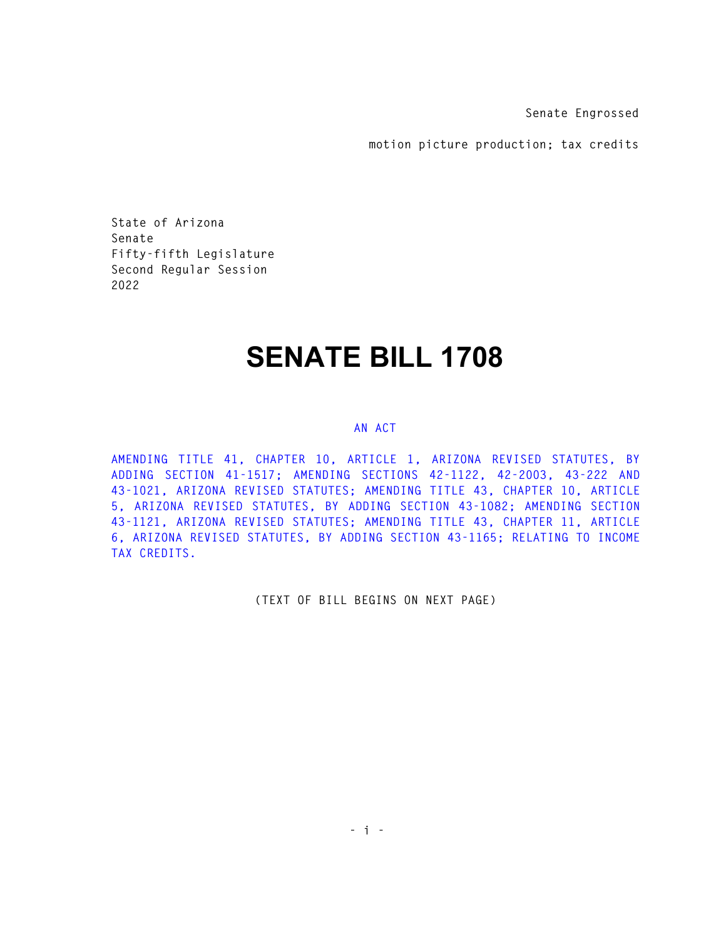**Senate Engrossed** 

**motion picture production; tax credits** 

**State of Arizona Senate Fifty-fifth Legislature Second Regular Session 2022** 

## **SENATE BILL 1708**

## **AN ACT**

**AMENDING TITLE 41, CHAPTER 10, ARTICLE 1, ARIZONA REVISED STATUTES, BY ADDING SECTION 41-1517; AMENDING SECTIONS 42-1122, 42-2003, 43-222 AND 43-1021, ARIZONA REVISED STATUTES; AMENDING TITLE 43, CHAPTER 10, ARTICLE 5, ARIZONA REVISED STATUTES, BY ADDING SECTION 43-1082; AMENDING SECTION 43-1121, ARIZONA REVISED STATUTES; AMENDING TITLE 43, CHAPTER 11, ARTICLE 6, ARIZONA REVISED STATUTES, BY ADDING SECTION 43-1165; RELATING TO INCOME TAX CREDITS.** 

**(TEXT OF BILL BEGINS ON NEXT PAGE)**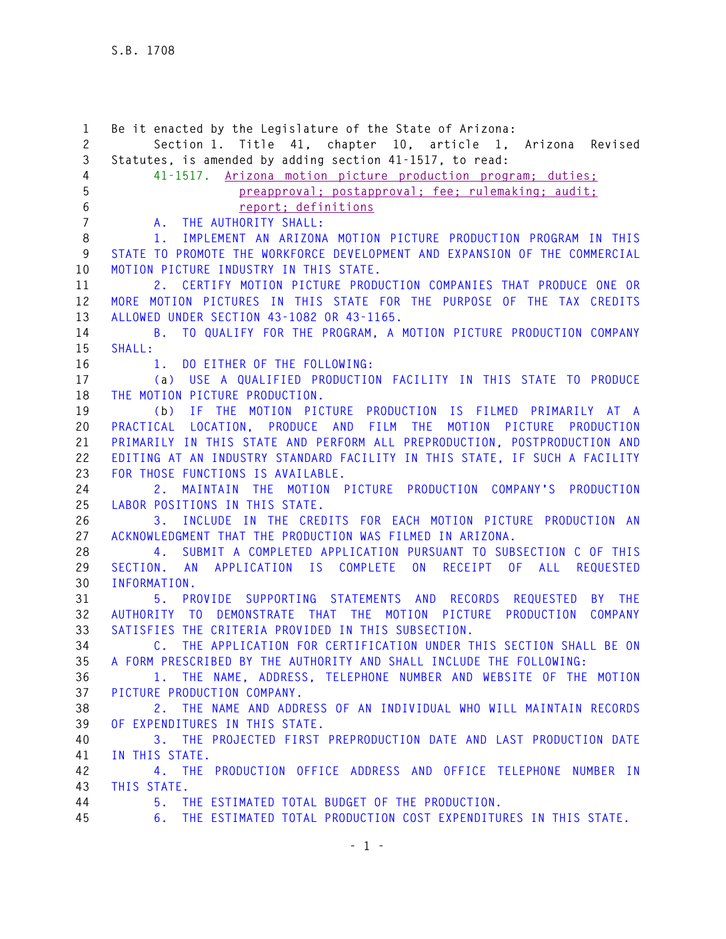**1 Be it enacted by the Legislature of the State of Arizona: 2 Section 1. Title 41, chapter 10, article 1, Arizona Revised 3 Statutes, is amended by adding section 41-1517, to read: 4 41-1517. Arizona motion picture production program; duties; 5 preapproval; postapproval; fee; rulemaking; audit; 6 report; definitions 7 A. THE AUTHORITY SHALL: 8 1. IMPLEMENT AN ARIZONA MOTION PICTURE PRODUCTION PROGRAM IN THIS 9 STATE TO PROMOTE THE WORKFORCE DEVELOPMENT AND EXPANSION OF THE COMMERCIAL 10 MOTION PICTURE INDUSTRY IN THIS STATE. 11 2. CERTIFY MOTION PICTURE PRODUCTION COMPANIES THAT PRODUCE ONE OR 12 MORE MOTION PICTURES IN THIS STATE FOR THE PURPOSE OF THE TAX CREDITS 13 ALLOWED UNDER SECTION 43-1082 OR 43-1165. 14 B. TO QUALIFY FOR THE PROGRAM, A MOTION PICTURE PRODUCTION COMPANY 15 SHALL: 16 1. DO EITHER OF THE FOLLOWING: 17 (a) USE A QUALIFIED PRODUCTION FACILITY IN THIS STATE TO PRODUCE 18 THE MOTION PICTURE PRODUCTION. 19 (b) IF THE MOTION PICTURE PRODUCTION IS FILMED PRIMARILY AT A 20 PRACTICAL LOCATION, PRODUCE AND FILM THE MOTION PICTURE PRODUCTION 21 PRIMARILY IN THIS STATE AND PERFORM ALL PREPRODUCTION, POSTPRODUCTION AND 22 EDITING AT AN INDUSTRY STANDARD FACILITY IN THIS STATE, IF SUCH A FACILITY 23 FOR THOSE FUNCTIONS IS AVAILABLE. 24 2. MAINTAIN THE MOTION PICTURE PRODUCTION COMPANY'S PRODUCTION 25 LABOR POSITIONS IN THIS STATE. 26 3. INCLUDE IN THE CREDITS FOR EACH MOTION PICTURE PRODUCTION AN 27 ACKNOWLEDGMENT THAT THE PRODUCTION WAS FILMED IN ARIZONA. 28 4. SUBMIT A COMPLETED APPLICATION PURSUANT TO SUBSECTION C OF THIS 29 SECTION. AN APPLICATION IS COMPLETE ON RECEIPT OF ALL REQUESTED 30 INFORMATION. 31 5. PROVIDE SUPPORTING STATEMENTS AND RECORDS REQUESTED BY THE 32 AUTHORITY TO DEMONSTRATE THAT THE MOTION PICTURE PRODUCTION COMPANY 33 SATISFIES THE CRITERIA PROVIDED IN THIS SUBSECTION. 34 C. THE APPLICATION FOR CERTIFICATION UNDER THIS SECTION SHALL BE ON 35 A FORM PRESCRIBED BY THE AUTHORITY AND SHALL INCLUDE THE FOLLOWING: 36 1. THE NAME, ADDRESS, TELEPHONE NUMBER AND WEBSITE OF THE MOTION 37 PICTURE PRODUCTION COMPANY. 38 2. THE NAME AND ADDRESS OF AN INDIVIDUAL WHO WILL MAINTAIN RECORDS 39 OF EXPENDITURES IN THIS STATE. 40 3. THE PROJECTED FIRST PREPRODUCTION DATE AND LAST PRODUCTION DATE 41 IN THIS STATE. 42 4. THE PRODUCTION OFFICE ADDRESS AND OFFICE TELEPHONE NUMBER IN 43 THIS STATE. 44 5. THE ESTIMATED TOTAL BUDGET OF THE PRODUCTION. 45 6. THE ESTIMATED TOTAL PRODUCTION COST EXPENDITURES IN THIS STATE.**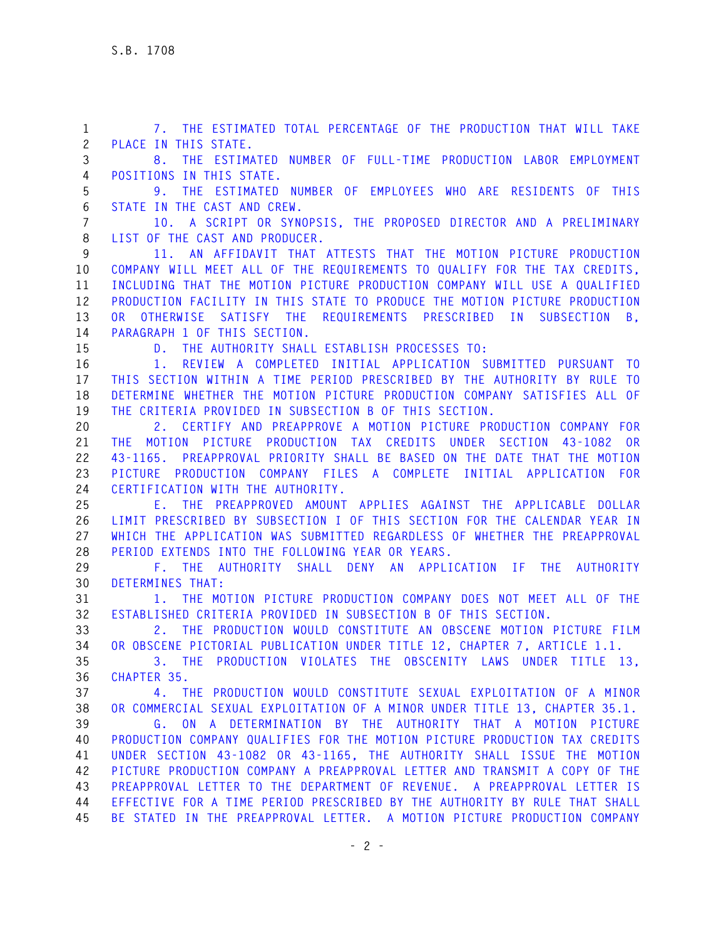**1 7. THE ESTIMATED TOTAL PERCENTAGE OF THE PRODUCTION THAT WILL TAKE 2 PLACE IN THIS STATE. 3 8. THE ESTIMATED NUMBER OF FULL-TIME PRODUCTION LABOR EMPLOYMENT 4 POSITIONS IN THIS STATE. 5 9. THE ESTIMATED NUMBER OF EMPLOYEES WHO ARE RESIDENTS OF THIS 6 STATE IN THE CAST AND CREW. 7 10. A SCRIPT OR SYNOPSIS, THE PROPOSED DIRECTOR AND A PRELIMINARY 8 LIST OF THE CAST AND PRODUCER. 9 11. AN AFFIDAVIT THAT ATTESTS THAT THE MOTION PICTURE PRODUCTION 10 COMPANY WILL MEET ALL OF THE REQUIREMENTS TO QUALIFY FOR THE TAX CREDITS, 11 INCLUDING THAT THE MOTION PICTURE PRODUCTION COMPANY WILL USE A QUALIFIED 12 PRODUCTION FACILITY IN THIS STATE TO PRODUCE THE MOTION PICTURE PRODUCTION 13 OR OTHERWISE SATISFY THE REQUIREMENTS PRESCRIBED IN SUBSECTION B, 14 PARAGRAPH 1 OF THIS SECTION. 15 D. THE AUTHORITY SHALL ESTABLISH PROCESSES TO: 16 1. REVIEW A COMPLETED INITIAL APPLICATION SUBMITTED PURSUANT TO 17 THIS SECTION WITHIN A TIME PERIOD PRESCRIBED BY THE AUTHORITY BY RULE TO 18 DETERMINE WHETHER THE MOTION PICTURE PRODUCTION COMPANY SATISFIES ALL OF 19 THE CRITERIA PROVIDED IN SUBSECTION B OF THIS SECTION. 20 2. CERTIFY AND PREAPPROVE A MOTION PICTURE PRODUCTION COMPANY FOR 21 THE MOTION PICTURE PRODUCTION TAX CREDITS UNDER SECTION 43-1082 OR 22 43-1165. PREAPPROVAL PRIORITY SHALL BE BASED ON THE DATE THAT THE MOTION 23 PICTURE PRODUCTION COMPANY FILES A COMPLETE INITIAL APPLICATION FOR 24 CERTIFICATION WITH THE AUTHORITY. 25 E. THE PREAPPROVED AMOUNT APPLIES AGAINST THE APPLICABLE DOLLAR 26 LIMIT PRESCRIBED BY SUBSECTION I OF THIS SECTION FOR THE CALENDAR YEAR IN 27 WHICH THE APPLICATION WAS SUBMITTED REGARDLESS OF WHETHER THE PREAPPROVAL 28 PERIOD EXTENDS INTO THE FOLLOWING YEAR OR YEARS. 29 F. THE AUTHORITY SHALL DENY AN APPLICATION IF THE AUTHORITY 30 DETERMINES THAT: 31 1. THE MOTION PICTURE PRODUCTION COMPANY DOES NOT MEET ALL OF THE 32 ESTABLISHED CRITERIA PROVIDED IN SUBSECTION B OF THIS SECTION. 33 2. THE PRODUCTION WOULD CONSTITUTE AN OBSCENE MOTION PICTURE FILM 34 OR OBSCENE PICTORIAL PUBLICATION UNDER TITLE 12, CHAPTER 7, ARTICLE 1.1. 35 3. THE PRODUCTION VIOLATES THE OBSCENITY LAWS UNDER TITLE 13, 36 CHAPTER 35. 37 4. THE PRODUCTION WOULD CONSTITUTE SEXUAL EXPLOITATION OF A MINOR 38 OR COMMERCIAL SEXUAL EXPLOITATION OF A MINOR UNDER TITLE 13, CHAPTER 35.1. 39 G. ON A DETERMINATION BY THE AUTHORITY THAT A MOTION PICTURE 40 PRODUCTION COMPANY QUALIFIES FOR THE MOTION PICTURE PRODUCTION TAX CREDITS 41 UNDER SECTION 43-1082 OR 43-1165, THE AUTHORITY SHALL ISSUE THE MOTION 42 PICTURE PRODUCTION COMPANY A PREAPPROVAL LETTER AND TRANSMIT A COPY OF THE 43 PREAPPROVAL LETTER TO THE DEPARTMENT OF REVENUE. A PREAPPROVAL LETTER IS 44 EFFECTIVE FOR A TIME PERIOD PRESCRIBED BY THE AUTHORITY BY RULE THAT SHALL 45 BE STATED IN THE PREAPPROVAL LETTER. A MOTION PICTURE PRODUCTION COMPANY**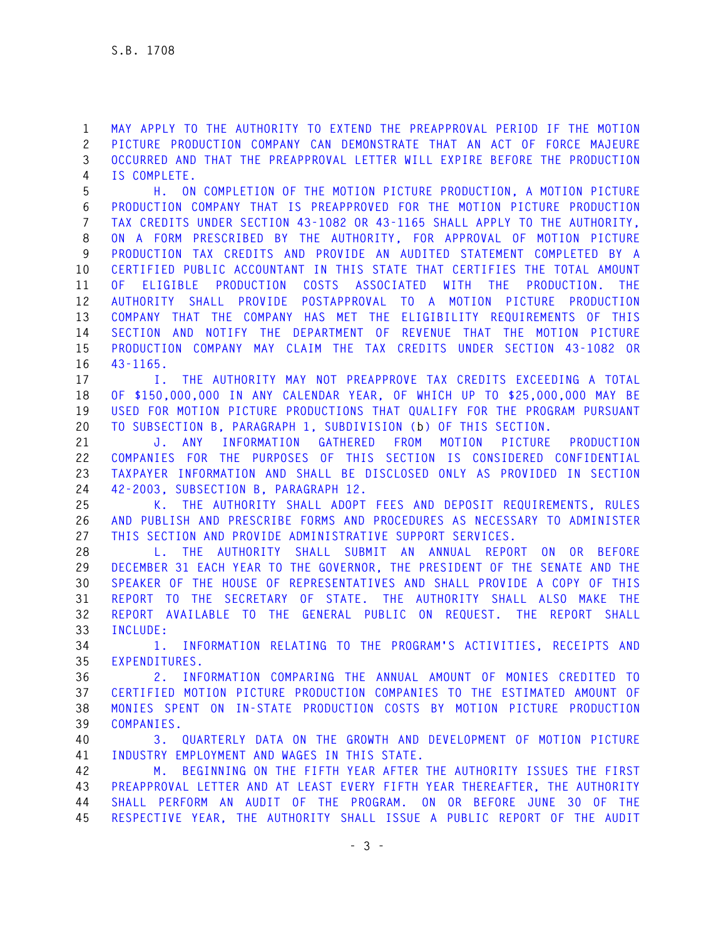**1 MAY APPLY TO THE AUTHORITY TO EXTEND THE PREAPPROVAL PERIOD IF THE MOTION 2 PICTURE PRODUCTION COMPANY CAN DEMONSTRATE THAT AN ACT OF FORCE MAJEURE 3 OCCURRED AND THAT THE PREAPPROVAL LETTER WILL EXPIRE BEFORE THE PRODUCTION 4 IS COMPLETE.** 

**5 H. ON COMPLETION OF THE MOTION PICTURE PRODUCTION, A MOTION PICTURE 6 PRODUCTION COMPANY THAT IS PREAPPROVED FOR THE MOTION PICTURE PRODUCTION 7 TAX CREDITS UNDER SECTION 43-1082 OR 43-1165 SHALL APPLY TO THE AUTHORITY, 8 ON A FORM PRESCRIBED BY THE AUTHORITY, FOR APPROVAL OF MOTION PICTURE 9 PRODUCTION TAX CREDITS AND PROVIDE AN AUDITED STATEMENT COMPLETED BY A 10 CERTIFIED PUBLIC ACCOUNTANT IN THIS STATE THAT CERTIFIES THE TOTAL AMOUNT 11 OF ELIGIBLE PRODUCTION COSTS ASSOCIATED WITH THE PRODUCTION. THE 12 AUTHORITY SHALL PROVIDE POSTAPPROVAL TO A MOTION PICTURE PRODUCTION 13 COMPANY THAT THE COMPANY HAS MET THE ELIGIBILITY REQUIREMENTS OF THIS 14 SECTION AND NOTIFY THE DEPARTMENT OF REVENUE THAT THE MOTION PICTURE 15 PRODUCTION COMPANY MAY CLAIM THE TAX CREDITS UNDER SECTION 43-1082 OR 16 43-1165.** 

**17 I. THE AUTHORITY MAY NOT PREAPPROVE TAX CREDITS EXCEEDING A TOTAL 18 OF \$150,000,000 IN ANY CALENDAR YEAR, OF WHICH UP TO \$25,000,000 MAY BE 19 USED FOR MOTION PICTURE PRODUCTIONS THAT QUALIFY FOR THE PROGRAM PURSUANT 20 TO SUBSECTION B, PARAGRAPH 1, SUBDIVISION (b) OF THIS SECTION.** 

**21 J. ANY INFORMATION GATHERED FROM MOTION PICTURE PRODUCTION 22 COMPANIES FOR THE PURPOSES OF THIS SECTION IS CONSIDERED CONFIDENTIAL 23 TAXPAYER INFORMATION AND SHALL BE DISCLOSED ONLY AS PROVIDED IN SECTION 24 42-2003, SUBSECTION B, PARAGRAPH 12.** 

**25 K. THE AUTHORITY SHALL ADOPT FEES AND DEPOSIT REQUIREMENTS, RULES 26 AND PUBLISH AND PRESCRIBE FORMS AND PROCEDURES AS NECESSARY TO ADMINISTER 27 THIS SECTION AND PROVIDE ADMINISTRATIVE SUPPORT SERVICES.** 

**28 L. THE AUTHORITY SHALL SUBMIT AN ANNUAL REPORT ON OR BEFORE 29 DECEMBER 31 EACH YEAR TO THE GOVERNOR, THE PRESIDENT OF THE SENATE AND THE 30 SPEAKER OF THE HOUSE OF REPRESENTATIVES AND SHALL PROVIDE A COPY OF THIS 31 REPORT TO THE SECRETARY OF STATE. THE AUTHORITY SHALL ALSO MAKE THE 32 REPORT AVAILABLE TO THE GENERAL PUBLIC ON REQUEST. THE REPORT SHALL 33 INCLUDE:** 

**34 1. INFORMATION RELATING TO THE PROGRAM'S ACTIVITIES, RECEIPTS AND 35 EXPENDITURES.** 

**36 2. INFORMATION COMPARING THE ANNUAL AMOUNT OF MONIES CREDITED TO 37 CERTIFIED MOTION PICTURE PRODUCTION COMPANIES TO THE ESTIMATED AMOUNT OF 38 MONIES SPENT ON IN-STATE PRODUCTION COSTS BY MOTION PICTURE PRODUCTION 39 COMPANIES.** 

**40 3. QUARTERLY DATA ON THE GROWTH AND DEVELOPMENT OF MOTION PICTURE 41 INDUSTRY EMPLOYMENT AND WAGES IN THIS STATE.** 

**42 M. BEGINNING ON THE FIFTH YEAR AFTER THE AUTHORITY ISSUES THE FIRST 43 PREAPPROVAL LETTER AND AT LEAST EVERY FIFTH YEAR THEREAFTER, THE AUTHORITY 44 SHALL PERFORM AN AUDIT OF THE PROGRAM. ON OR BEFORE JUNE 30 OF THE 45 RESPECTIVE YEAR, THE AUTHORITY SHALL ISSUE A PUBLIC REPORT OF THE AUDIT**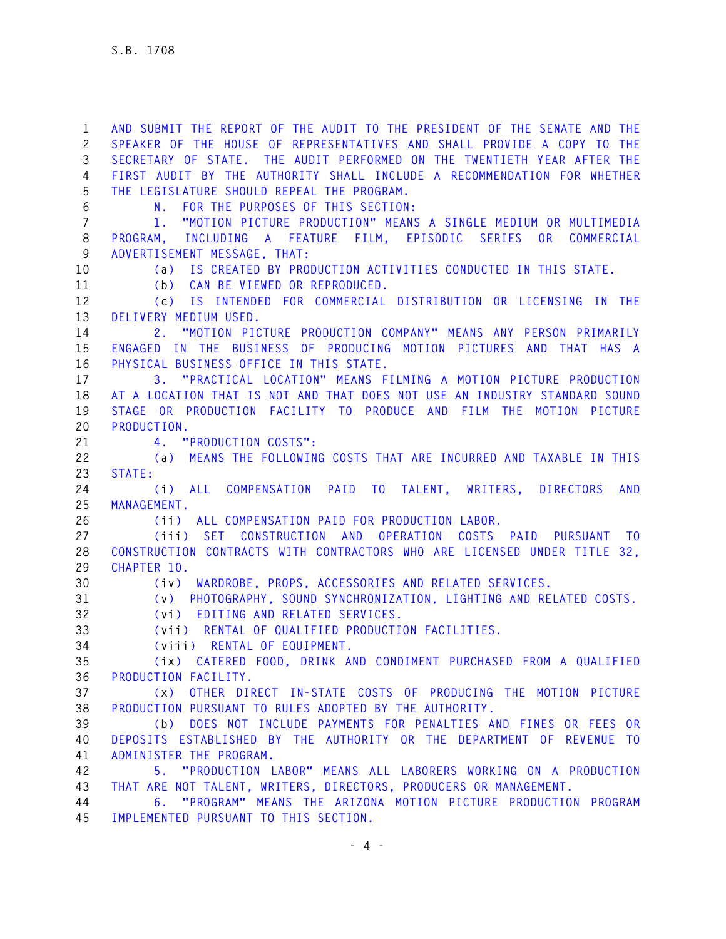**1 AND SUBMIT THE REPORT OF THE AUDIT TO THE PRESIDENT OF THE SENATE AND THE 2 SPEAKER OF THE HOUSE OF REPRESENTATIVES AND SHALL PROVIDE A COPY TO THE 3 SECRETARY OF STATE. THE AUDIT PERFORMED ON THE TWENTIETH YEAR AFTER THE 4 FIRST AUDIT BY THE AUTHORITY SHALL INCLUDE A RECOMMENDATION FOR WHETHER 5 THE LEGISLATURE SHOULD REPEAL THE PROGRAM. 6 N. FOR THE PURPOSES OF THIS SECTION: 7 1. "MOTION PICTURE PRODUCTION" MEANS A SINGLE MEDIUM OR MULTIMEDIA 8 PROGRAM, INCLUDING A FEATURE FILM, EPISODIC SERIES OR COMMERCIAL 9 ADVERTISEMENT MESSAGE, THAT: 10 (a) IS CREATED BY PRODUCTION ACTIVITIES CONDUCTED IN THIS STATE. 11 (b) CAN BE VIEWED OR REPRODUCED. 12 (c) IS INTENDED FOR COMMERCIAL DISTRIBUTION OR LICENSING IN THE 13 DELIVERY MEDIUM USED. 14 2. "MOTION PICTURE PRODUCTION COMPANY" MEANS ANY PERSON PRIMARILY 15 ENGAGED IN THE BUSINESS OF PRODUCING MOTION PICTURES AND THAT HAS A 16 PHYSICAL BUSINESS OFFICE IN THIS STATE. 17 3. "PRACTICAL LOCATION" MEANS FILMING A MOTION PICTURE PRODUCTION 18 AT A LOCATION THAT IS NOT AND THAT DOES NOT USE AN INDUSTRY STANDARD SOUND 19 STAGE OR PRODUCTION FACILITY TO PRODUCE AND FILM THE MOTION PICTURE 20 PRODUCTION. 21 4. "PRODUCTION COSTS": 22 (a) MEANS THE FOLLOWING COSTS THAT ARE INCURRED AND TAXABLE IN THIS 23 STATE: 24 (i) ALL COMPENSATION PAID TO TALENT, WRITERS, DIRECTORS AND 25 MANAGEMENT. 26 (ii) ALL COMPENSATION PAID FOR PRODUCTION LABOR. 27 (iii) SET CONSTRUCTION AND OPERATION COSTS PAID PURSUANT TO 28 CONSTRUCTION CONTRACTS WITH CONTRACTORS WHO ARE LICENSED UNDER TITLE 32, 29 CHAPTER 10. 30 (iv) WARDROBE, PROPS, ACCESSORIES AND RELATED SERVICES. 31 (v) PHOTOGRAPHY, SOUND SYNCHRONIZATION, LIGHTING AND RELATED COSTS. 32 (vi) EDITING AND RELATED SERVICES. 33 (vii) RENTAL OF QUALIFIED PRODUCTION FACILITIES. 34 (viii) RENTAL OF EQUIPMENT. 35 (ix) CATERED FOOD, DRINK AND CONDIMENT PURCHASED FROM A QUALIFIED 36 PRODUCTION FACILITY. 37 (x) OTHER DIRECT IN-STATE COSTS OF PRODUCING THE MOTION PICTURE 38 PRODUCTION PURSUANT TO RULES ADOPTED BY THE AUTHORITY. 39 (b) DOES NOT INCLUDE PAYMENTS FOR PENALTIES AND FINES OR FEES OR 40 DEPOSITS ESTABLISHED BY THE AUTHORITY OR THE DEPARTMENT OF REVENUE TO 41 ADMINISTER THE PROGRAM. 42 5. "PRODUCTION LABOR" MEANS ALL LABORERS WORKING ON A PRODUCTION 43 THAT ARE NOT TALENT, WRITERS, DIRECTORS, PRODUCERS OR MANAGEMENT. 44 6. "PROGRAM" MEANS THE ARIZONA MOTION PICTURE PRODUCTION PROGRAM 45 IMPLEMENTED PURSUANT TO THIS SECTION.**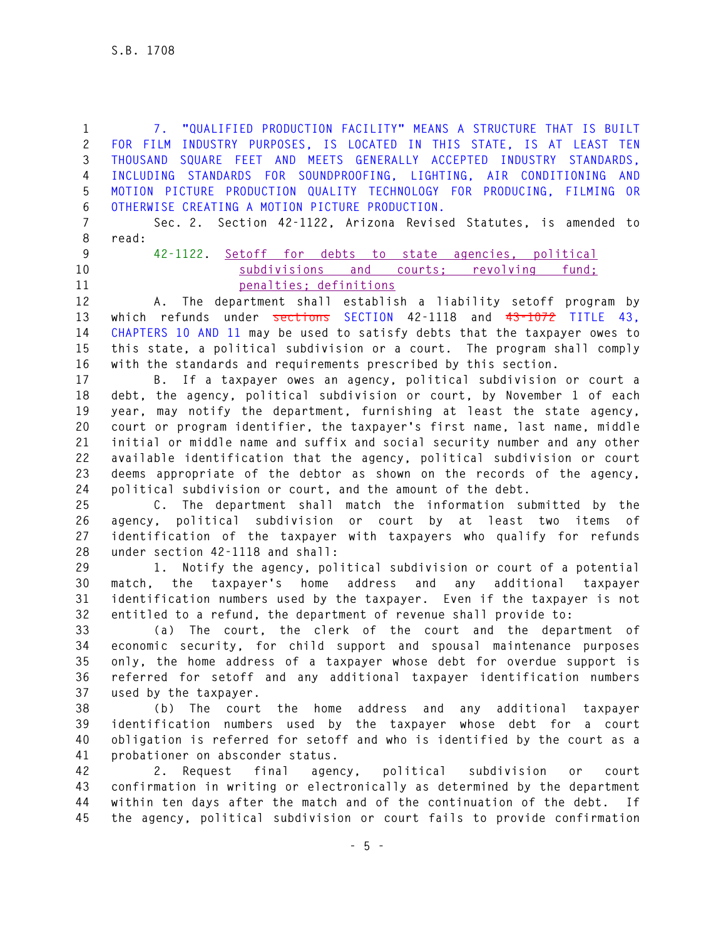**1 7. "QUALIFIED PRODUCTION FACILITY" MEANS A STRUCTURE THAT IS BUILT 2 FOR FILM INDUSTRY PURPOSES, IS LOCATED IN THIS STATE, IS AT LEAST TEN 3 THOUSAND SQUARE FEET AND MEETS GENERALLY ACCEPTED INDUSTRY STANDARDS, 4 INCLUDING STANDARDS FOR SOUNDPROOFING, LIGHTING, AIR CONDITIONING AND 5 MOTION PICTURE PRODUCTION QUALITY TECHNOLOGY FOR PRODUCING, FILMING OR 6 OTHERWISE CREATING A MOTION PICTURE PRODUCTION.** 

**7 Sec. 2. Section 42-1122, Arizona Revised Statutes, is amended to 8 read:** 

- 
- 

**9 42-1122. Setoff for debts to state agencies, political 10 subdivisions and courts; revolving fund; 11 penalties; definitions**

**12 A. The department shall establish a liability setoff program by 13 which refunds under sections SECTION 42-1118 and 43-1072 TITLE 43, 14 CHAPTERS 10 AND 11 may be used to satisfy debts that the taxpayer owes to 15 this state, a political subdivision or a court. The program shall comply 16 with the standards and requirements prescribed by this section.** 

**17 B. If a taxpayer owes an agency, political subdivision or court a 18 debt, the agency, political subdivision or court, by November 1 of each 19 year, may notify the department, furnishing at least the state agency, 20 court or program identifier, the taxpayer's first name, last name, middle 21 initial or middle name and suffix and social security number and any other 22 available identification that the agency, political subdivision or court 23 deems appropriate of the debtor as shown on the records of the agency, 24 political subdivision or court, and the amount of the debt.** 

**25 C. The department shall match the information submitted by the 26 agency, political subdivision or court by at least two items of 27 identification of the taxpayer with taxpayers who qualify for refunds 28 under section 42-1118 and shall:** 

**29 1. Notify the agency, political subdivision or court of a potential 30 match, the taxpayer's home address and any additional taxpayer 31 identification numbers used by the taxpayer. Even if the taxpayer is not 32 entitled to a refund, the department of revenue shall provide to:** 

**33 (a) The court, the clerk of the court and the department of 34 economic security, for child support and spousal maintenance purposes 35 only, the home address of a taxpayer whose debt for overdue support is 36 referred for setoff and any additional taxpayer identification numbers 37 used by the taxpayer.** 

**38 (b) The court the home address and any additional taxpayer 39 identification numbers used by the taxpayer whose debt for a court 40 obligation is referred for setoff and who is identified by the court as a 41 probationer on absconder status.** 

**42 2. Request final agency, political subdivision or court 43 confirmation in writing or electronically as determined by the department 44 within ten days after the match and of the continuation of the debt. If 45 the agency, political subdivision or court fails to provide confirmation**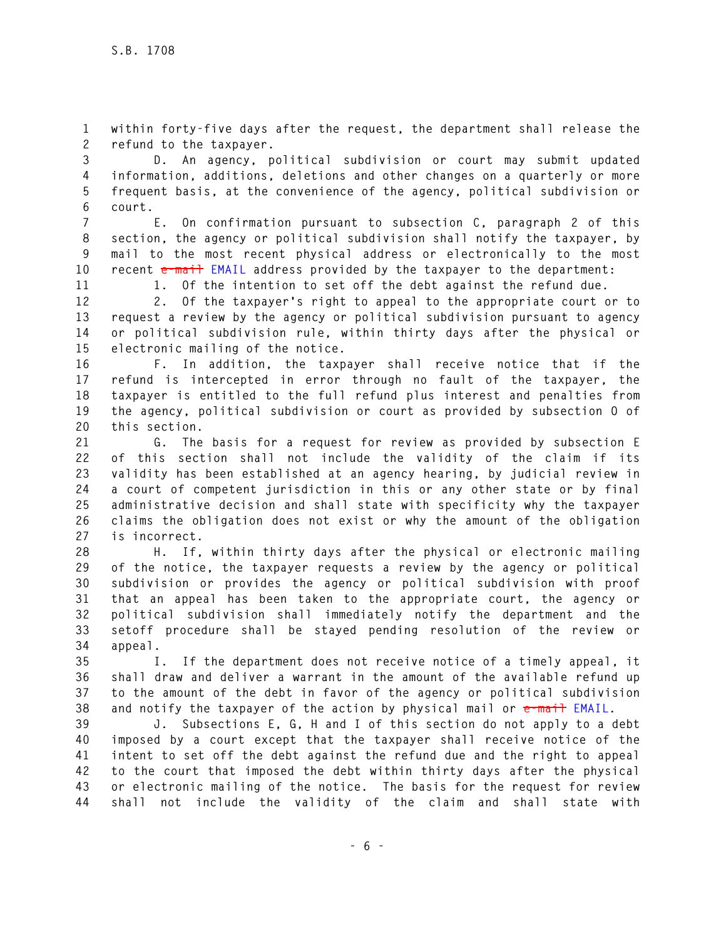**1 within forty-five days after the request, the department shall release the 2 refund to the taxpayer.** 

**3 D. An agency, political subdivision or court may submit updated 4 information, additions, deletions and other changes on a quarterly or more 5 frequent basis, at the convenience of the agency, political subdivision or 6 court.** 

**7 E. On confirmation pursuant to subsection C, paragraph 2 of this 8 section, the agency or political subdivision shall notify the taxpayer, by 9 mail to the most recent physical address or electronically to the most 10 recent e-mail EMAIL address provided by the taxpayer to the department:** 

**11 1. Of the intention to set off the debt against the refund due.** 

**12 2. Of the taxpayer's right to appeal to the appropriate court or to 13 request a review by the agency or political subdivision pursuant to agency 14 or political subdivision rule, within thirty days after the physical or 15 electronic mailing of the notice.** 

**16 F. In addition, the taxpayer shall receive notice that if the 17 refund is intercepted in error through no fault of the taxpayer, the 18 taxpayer is entitled to the full refund plus interest and penalties from 19 the agency, political subdivision or court as provided by subsection O of 20 this section.** 

**21 G. The basis for a request for review as provided by subsection E 22 of this section shall not include the validity of the claim if its 23 validity has been established at an agency hearing, by judicial review in 24 a court of competent jurisdiction in this or any other state or by final 25 administrative decision and shall state with specificity why the taxpayer 26 claims the obligation does not exist or why the amount of the obligation 27 is incorrect.** 

**28 H. If, within thirty days after the physical or electronic mailing 29 of the notice, the taxpayer requests a review by the agency or political 30 subdivision or provides the agency or political subdivision with proof 31 that an appeal has been taken to the appropriate court, the agency or 32 political subdivision shall immediately notify the department and the 33 setoff procedure shall be stayed pending resolution of the review or 34 appeal.** 

**35 I. If the department does not receive notice of a timely appeal, it 36 shall draw and deliver a warrant in the amount of the available refund up 37 to the amount of the debt in favor of the agency or political subdivision 38 and notify the taxpayer of the action by physical mail or e-mail EMAIL.** 

**39 J. Subsections E, G, H and I of this section do not apply to a debt 40 imposed by a court except that the taxpayer shall receive notice of the 41 intent to set off the debt against the refund due and the right to appeal 42 to the court that imposed the debt within thirty days after the physical 43 or electronic mailing of the notice. The basis for the request for review 44 shall not include the validity of the claim and shall state with**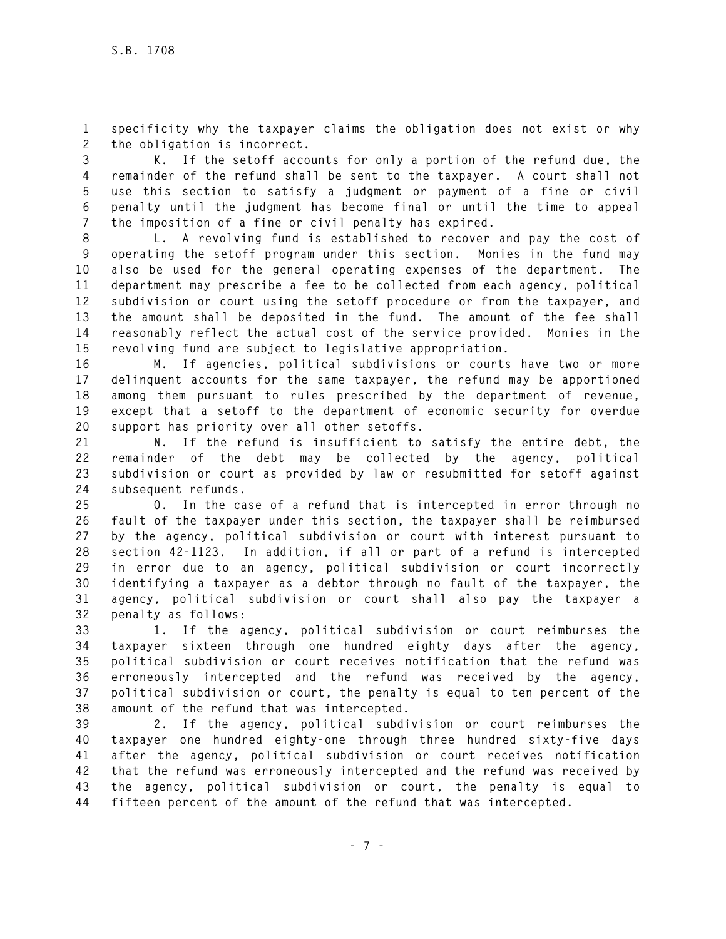**1 specificity why the taxpayer claims the obligation does not exist or why 2 the obligation is incorrect.** 

**3 K. If the setoff accounts for only a portion of the refund due, the 4 remainder of the refund shall be sent to the taxpayer. A court shall not 5 use this section to satisfy a judgment or payment of a fine or civil 6 penalty until the judgment has become final or until the time to appeal 7 the imposition of a fine or civil penalty has expired.** 

**8 L. A revolving fund is established to recover and pay the cost of 9 operating the setoff program under this section. Monies in the fund may 10 also be used for the general operating expenses of the department. The 11 department may prescribe a fee to be collected from each agency, political 12 subdivision or court using the setoff procedure or from the taxpayer, and 13 the amount shall be deposited in the fund. The amount of the fee shall 14 reasonably reflect the actual cost of the service provided. Monies in the 15 revolving fund are subject to legislative appropriation.** 

**16 M. If agencies, political subdivisions or courts have two or more 17 delinquent accounts for the same taxpayer, the refund may be apportioned 18 among them pursuant to rules prescribed by the department of revenue, 19 except that a setoff to the department of economic security for overdue 20 support has priority over all other setoffs.** 

**21 N. If the refund is insufficient to satisfy the entire debt, the 22 remainder of the debt may be collected by the agency, political 23 subdivision or court as provided by law or resubmitted for setoff against 24 subsequent refunds.** 

**25 O. In the case of a refund that is intercepted in error through no 26 fault of the taxpayer under this section, the taxpayer shall be reimbursed 27 by the agency, political subdivision or court with interest pursuant to 28 section 42-1123. In addition, if all or part of a refund is intercepted 29 in error due to an agency, political subdivision or court incorrectly 30 identifying a taxpayer as a debtor through no fault of the taxpayer, the 31 agency, political subdivision or court shall also pay the taxpayer a 32 penalty as follows:** 

**33 1. If the agency, political subdivision or court reimburses the 34 taxpayer sixteen through one hundred eighty days after the agency, 35 political subdivision or court receives notification that the refund was 36 erroneously intercepted and the refund was received by the agency, 37 political subdivision or court, the penalty is equal to ten percent of the 38 amount of the refund that was intercepted.** 

**39 2. If the agency, political subdivision or court reimburses the 40 taxpayer one hundred eighty-one through three hundred sixty-five days 41 after the agency, political subdivision or court receives notification 42 that the refund was erroneously intercepted and the refund was received by 43 the agency, political subdivision or court, the penalty is equal to 44 fifteen percent of the amount of the refund that was intercepted.**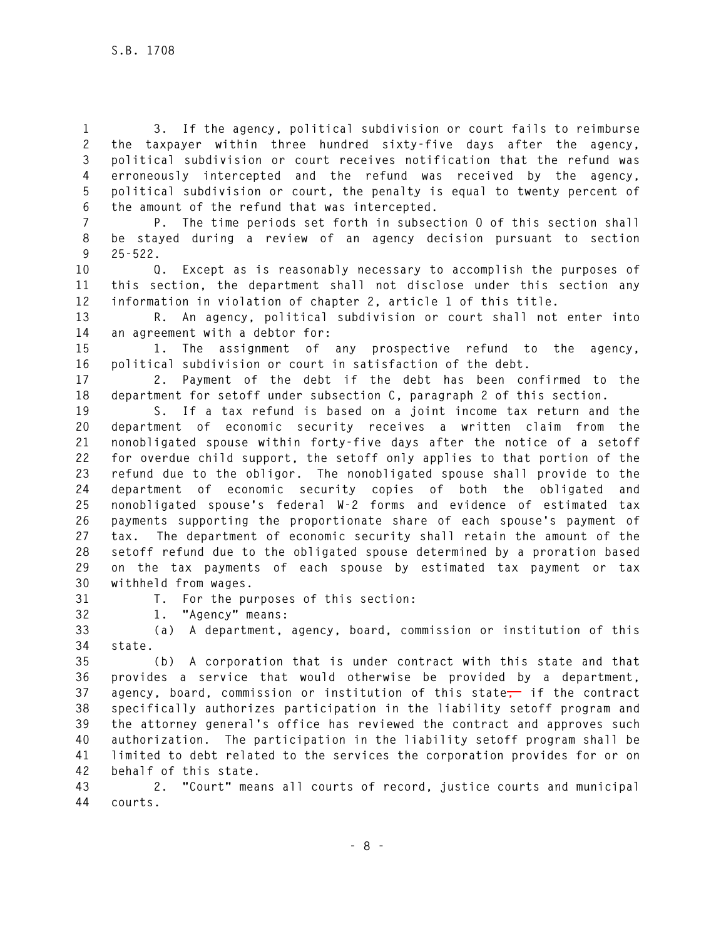**1 3. If the agency, political subdivision or court fails to reimburse 2 the taxpayer within three hundred sixty-five days after the agency, 3 political subdivision or court receives notification that the refund was 4 erroneously intercepted and the refund was received by the agency, 5 political subdivision or court, the penalty is equal to twenty percent of 6 the amount of the refund that was intercepted.** 

**7 P. The time periods set forth in subsection O of this section shall 8 be stayed during a review of an agency decision pursuant to section 9 25-522.** 

**10 Q. Except as is reasonably necessary to accomplish the purposes of 11 this section, the department shall not disclose under this section any 12 information in violation of chapter 2, article 1 of this title.** 

**13 R. An agency, political subdivision or court shall not enter into 14 an agreement with a debtor for:** 

**15 1. The assignment of any prospective refund to the agency, 16 political subdivision or court in satisfaction of the debt.** 

**17 2. Payment of the debt if the debt has been confirmed to the 18 department for setoff under subsection C, paragraph 2 of this section.** 

**19 S. If a tax refund is based on a joint income tax return and the 20 department of economic security receives a written claim from the 21 nonobligated spouse within forty-five days after the notice of a setoff 22 for overdue child support, the setoff only applies to that portion of the 23 refund due to the obligor. The nonobligated spouse shall provide to the 24 department of economic security copies of both the obligated and 25 nonobligated spouse's federal W-2 forms and evidence of estimated tax 26 payments supporting the proportionate share of each spouse's payment of 27 tax. The department of economic security shall retain the amount of the 28 setoff refund due to the obligated spouse determined by a proration based 29 on the tax payments of each spouse by estimated tax payment or tax 30 withheld from wages.** 

**31 T. For the purposes of this section:** 

**32 1. "Agency" means:** 

**33 (a) A department, agency, board, commission or institution of this 34 state.** 

**35 (b) A corporation that is under contract with this state and that 36 provides a service that would otherwise be provided by a department, 37 agency, board, commission or institution of this state, if the contract 38 specifically authorizes participation in the liability setoff program and 39 the attorney general's office has reviewed the contract and approves such 40 authorization. The participation in the liability setoff program shall be 41 limited to debt related to the services the corporation provides for or on 42 behalf of this state.** 

**43 2. "Court" means all courts of record, justice courts and municipal 44 courts.**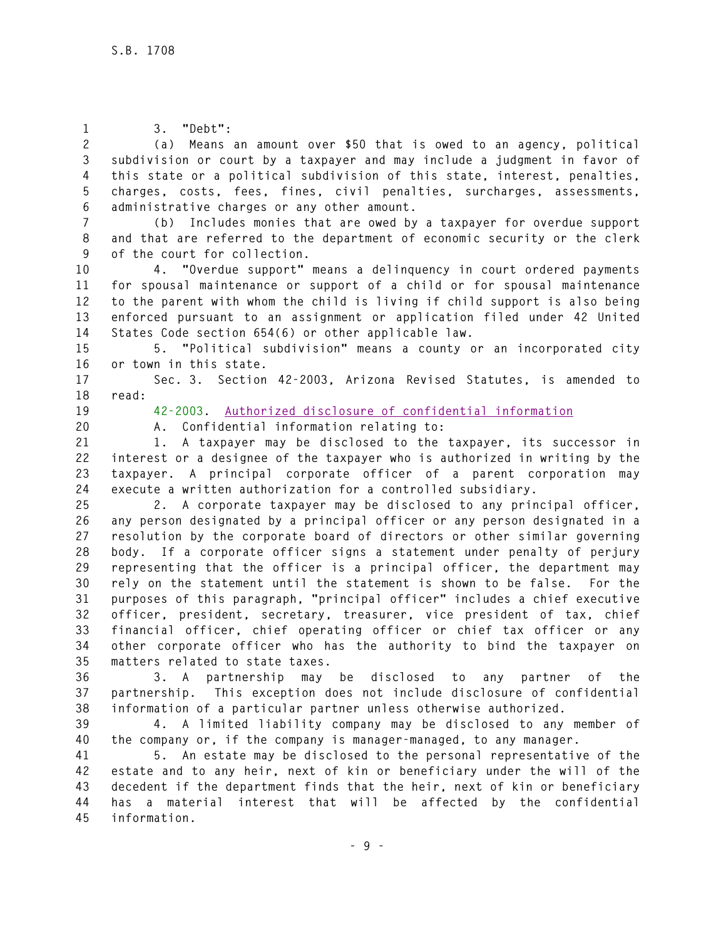| $\mathbf{1}$   | 3. "Debt":                                                                      |
|----------------|---------------------------------------------------------------------------------|
| $\mathbf{2}$   | (a) Means an amount over \$50 that is owed to an agency, political              |
| $\mathfrak{Z}$ | subdivision or court by a taxpayer and may include a judgment in favor of       |
| 4              | this state or a political subdivision of this state, interest, penalties,       |
| $\mathbf 5$    | charges, costs, fees, fines, civil penalties, surcharges, assessments,          |
| 6              | administrative charges or any other amount.                                     |
| $\overline{7}$ | (b) Includes monies that are owed by a taxpayer for overdue support             |
| 8              | and that are referred to the department of economic security or the clerk       |
| 9              | of the court for collection.                                                    |
| 10             | 4. "Overdue support" means a delinquency in court ordered payments              |
| 11             | for spousal maintenance or support of a child or for spousal maintenance        |
| 12             | to the parent with whom the child is living if child support is also being      |
| 13             | enforced pursuant to an assignment or application filed under 42 United         |
| 14             | States Code section 654(6) or other applicable law.                             |
| 15             | 5. "Political subdivision" means a county or an incorporated city               |
| 16             | or town in this state.                                                          |
| 17             | Sec. 3. Section 42-2003, Arizona Revised Statutes, is amended to                |
| 18             | read:                                                                           |
| 19             | 42-2003. Authorized disclosure of confidential information                      |
| 20             | Confidential information relating to:<br>A.                                     |
| 21             | A taxpayer may be disclosed to the taxpayer, its successor in<br>1.             |
| 22             | interest or a designee of the taxpayer who is authorized in writing by the      |
| 23             | taxpayer. A principal corporate officer of a parent corporation may             |
| 24             | execute a written authorization for a controlled subsidiary.                    |
| 25             | 2. A corporate taxpayer may be disclosed to any principal officer,              |
| 26             | any person designated by a principal officer or any person designated in a      |
| 27             | resolution by the corporate board of directors or other similar governing       |
| 28             | body. If a corporate officer signs a statement under penalty of perjury         |
| 29             | representing that the officer is a principal officer, the department may        |
| 30             | rely on the statement until the statement is shown to be false. For the         |
| 31             | purposes of this paragraph, "principal officer" includes a chief executive      |
| 32             | officer, president, secretary, treasurer, vice president of tax, chief          |
| 33             | financial officer, chief operating officer or chief tax officer or any          |
| 34             | other corporate officer who has the authority to bind the taxpayer on           |
| 35             | matters related to state taxes.                                                 |
| 36             | partnership<br>disclosed to<br>3. A<br>may<br>be<br>any<br>partner<br>the<br>0f |
| 37             | partnership. This exception does not include disclosure of confidential         |
| 38             | information of a particular partner unless otherwise authorized.                |
| 39             | 4. A limited liability company may be disclosed to any member of                |
| 40             | the company or, if the company is manager-managed, to any manager.              |
| 41             | An estate may be disclosed to the personal representative of the<br>5.          |

**42 estate and to any heir, next of kin or beneficiary under the will of the 43 decedent if the department finds that the heir, next of kin or beneficiary 44 has a material interest that will be affected by the confidential 45 information.**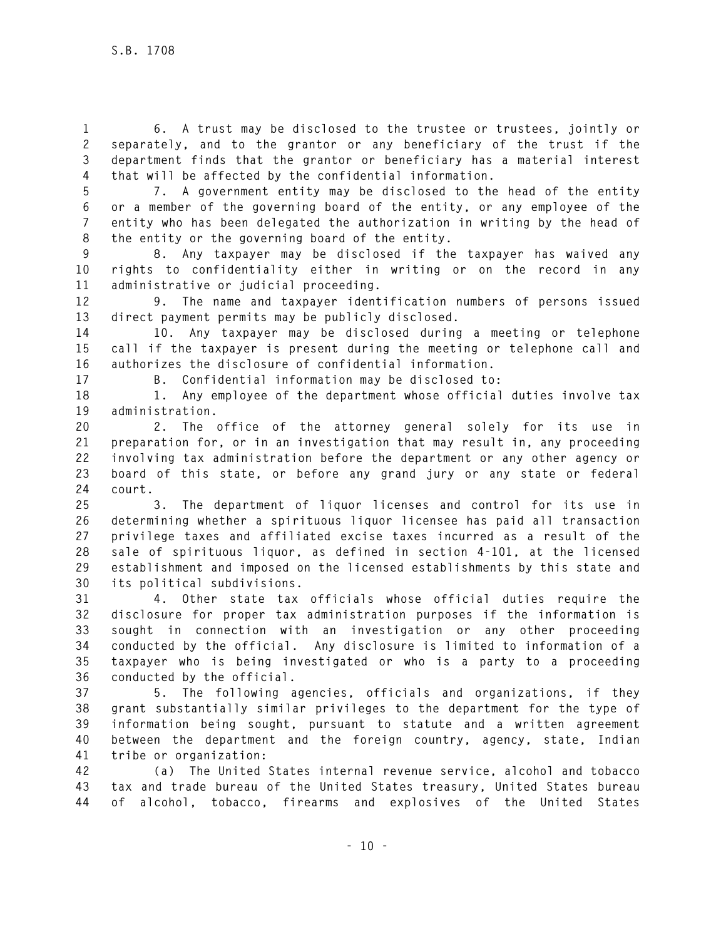**1 6. A trust may be disclosed to the trustee or trustees, jointly or 2 separately, and to the grantor or any beneficiary of the trust if the 3 department finds that the grantor or beneficiary has a material interest 4 that will be affected by the confidential information.** 

**5 7. A government entity may be disclosed to the head of the entity 6 or a member of the governing board of the entity, or any employee of the 7 entity who has been delegated the authorization in writing by the head of 8 the entity or the governing board of the entity.** 

**9 8. Any taxpayer may be disclosed if the taxpayer has waived any 10 rights to confidentiality either in writing or on the record in any 11 administrative or judicial proceeding.** 

**12 9. The name and taxpayer identification numbers of persons issued 13 direct payment permits may be publicly disclosed.** 

**14 10. Any taxpayer may be disclosed during a meeting or telephone 15 call if the taxpayer is present during the meeting or telephone call and 16 authorizes the disclosure of confidential information.** 

**17 B. Confidential information may be disclosed to:** 

**18 1. Any employee of the department whose official duties involve tax 19 administration.** 

**20 2. The office of the attorney general solely for its use in 21 preparation for, or in an investigation that may result in, any proceeding 22 involving tax administration before the department or any other agency or 23 board of this state, or before any grand jury or any state or federal 24 court.** 

**25 3. The department of liquor licenses and control for its use in 26 determining whether a spirituous liquor licensee has paid all transaction 27 privilege taxes and affiliated excise taxes incurred as a result of the 28 sale of spirituous liquor, as defined in section 4-101, at the licensed 29 establishment and imposed on the licensed establishments by this state and 30 its political subdivisions.** 

**31 4. Other state tax officials whose official duties require the 32 disclosure for proper tax administration purposes if the information is 33 sought in connection with an investigation or any other proceeding 34 conducted by the official. Any disclosure is limited to information of a 35 taxpayer who is being investigated or who is a party to a proceeding 36 conducted by the official.** 

**37 5. The following agencies, officials and organizations, if they 38 grant substantially similar privileges to the department for the type of 39 information being sought, pursuant to statute and a written agreement 40 between the department and the foreign country, agency, state, Indian 41 tribe or organization:** 

**42 (a) The United States internal revenue service, alcohol and tobacco 43 tax and trade bureau of the United States treasury, United States bureau 44 of alcohol, tobacco, firearms and explosives of the United States**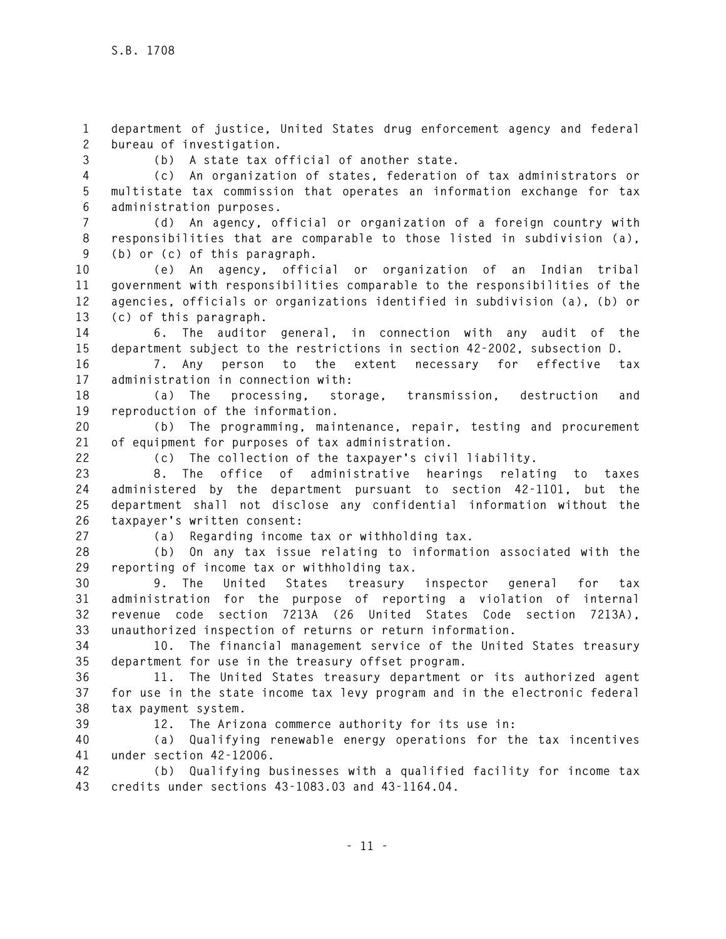**1 department of justice, United States drug enforcement agency and federal 2 bureau of investigation.** 

**3 (b) A state tax official of another state.** 

**4 (c) An organization of states, federation of tax administrators or 5 multistate tax commission that operates an information exchange for tax 6 administration purposes.** 

**7 (d) An agency, official or organization of a foreign country with 8 responsibilities that are comparable to those listed in subdivision (a), 9 (b) or (c) of this paragraph.** 

**10 (e) An agency, official or organization of an Indian tribal 11 government with responsibilities comparable to the responsibilities of the 12 agencies, officials or organizations identified in subdivision (a), (b) or 13 (c) of this paragraph.** 

**14 6. The auditor general, in connection with any audit of the 15 department subject to the restrictions in section 42-2002, subsection D.** 

**16 7. Any person to the extent necessary for effective tax 17 administration in connection with:** 

**18 (a) The processing, storage, transmission, destruction and 19 reproduction of the information.** 

**20 (b) The programming, maintenance, repair, testing and procurement 21 of equipment for purposes of tax administration.** 

**22 (c) The collection of the taxpayer's civil liability.** 

**23 8. The office of administrative hearings relating to taxes 24 administered by the department pursuant to section 42-1101, but the 25 department shall not disclose any confidential information without the 26 taxpayer's written consent:** 

**27 (a) Regarding income tax or withholding tax.** 

**28 (b) On any tax issue relating to information associated with the 29 reporting of income tax or withholding tax.** 

**30 9. The United States treasury inspector general for tax 31 administration for the purpose of reporting a violation of internal 32 revenue code section 7213A (26 United States Code section 7213A), 33 unauthorized inspection of returns or return information.** 

**34 10. The financial management service of the United States treasury 35 department for use in the treasury offset program.** 

**36 11. The United States treasury department or its authorized agent 37 for use in the state income tax levy program and in the electronic federal 38 tax payment system.** 

**39 12. The Arizona commerce authority for its use in:** 

**40 (a) Qualifying renewable energy operations for the tax incentives 41 under section 42-12006.** 

**42 (b) Qualifying businesses with a qualified facility for income tax 43 credits under sections 43-1083.03 and 43-1164.04.**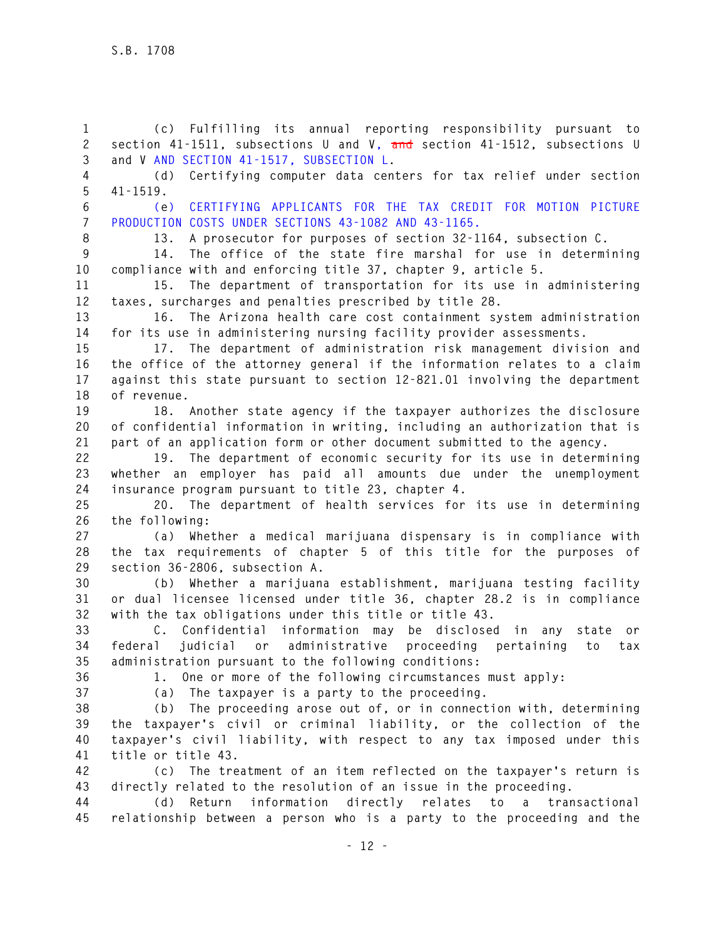**1 (c) Fulfilling its annual reporting responsibility pursuant to 2 section 41-1511, subsections U and V, and section 41-1512, subsections U 3 and V AND SECTION 41-1517, SUBSECTION L. 4 (d) Certifying computer data centers for tax relief under section 5 41-1519. 6 (e) CERTIFYING APPLICANTS FOR THE TAX CREDIT FOR MOTION PICTURE 7 PRODUCTION COSTS UNDER SECTIONS 43-1082 AND 43-1165. 8 13. A prosecutor for purposes of section 32-1164, subsection C. 9 14. The office of the state fire marshal for use in determining 10 compliance with and enforcing title 37, chapter 9, article 5. 11 15. The department of transportation for its use in administering 12 taxes, surcharges and penalties prescribed by title 28. 13 16. The Arizona health care cost containment system administration 14 for its use in administering nursing facility provider assessments. 15 17. The department of administration risk management division and 16 the office of the attorney general if the information relates to a claim 17 against this state pursuant to section 12-821.01 involving the department 18 of revenue. 19 18. Another state agency if the taxpayer authorizes the disclosure 20 of confidential information in writing, including an authorization that is 21 part of an application form or other document submitted to the agency. 22 19. The department of economic security for its use in determining 23 whether an employer has paid all amounts due under the unemployment 24 insurance program pursuant to title 23, chapter 4. 25 20. The department of health services for its use in determining 26 the following: 27 (a) Whether a medical marijuana dispensary is in compliance with 28 the tax requirements of chapter 5 of this title for the purposes of 29 section 36-2806, subsection A. 30 (b) Whether a marijuana establishment, marijuana testing facility 31 or dual licensee licensed under title 36, chapter 28.2 is in compliance 32 with the tax obligations under this title or title 43. 33 C. Confidential information may be disclosed in any state or 34 federal judicial or administrative proceeding pertaining to tax 35 administration pursuant to the following conditions: 36 1. One or more of the following circumstances must apply: 37 (a) The taxpayer is a party to the proceeding. 38 (b) The proceeding arose out of, or in connection with, determining 39 the taxpayer's civil or criminal liability, or the collection of the 40 taxpayer's civil liability, with respect to any tax imposed under this 41 title or title 43. 42 (c) The treatment of an item reflected on the taxpayer's return is 43 directly related to the resolution of an issue in the proceeding. 44 (d) Return information directly relates to a transactional 45 relationship between a person who is a party to the proceeding and the**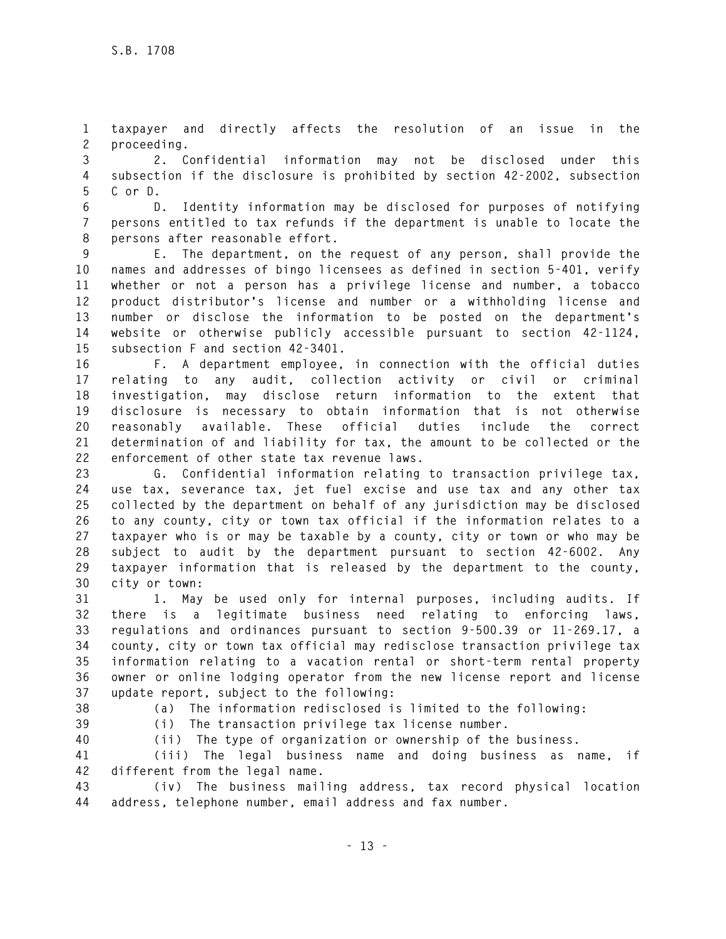**1 taxpayer and directly affects the resolution of an issue in the 2 proceeding.** 

**3 2. Confidential information may not be disclosed under this 4 subsection if the disclosure is prohibited by section 42-2002, subsection 5 C or D.** 

**6 D. Identity information may be disclosed for purposes of notifying 7 persons entitled to tax refunds if the department is unable to locate the 8 persons after reasonable effort.** 

**9 E. The department, on the request of any person, shall provide the 10 names and addresses of bingo licensees as defined in section 5-401, verify 11 whether or not a person has a privilege license and number, a tobacco 12 product distributor's license and number or a withholding license and 13 number or disclose the information to be posted on the department's 14 website or otherwise publicly accessible pursuant to section 42-1124, 15 subsection F and section 42-3401.** 

**16 F. A department employee, in connection with the official duties 17 relating to any audit, collection activity or civil or criminal 18 investigation, may disclose return information to the extent that 19 disclosure is necessary to obtain information that is not otherwise 20 reasonably available. These official duties include the correct 21 determination of and liability for tax, the amount to be collected or the 22 enforcement of other state tax revenue laws.** 

**23 G. Confidential information relating to transaction privilege tax, 24 use tax, severance tax, jet fuel excise and use tax and any other tax 25 collected by the department on behalf of any jurisdiction may be disclosed 26 to any county, city or town tax official if the information relates to a 27 taxpayer who is or may be taxable by a county, city or town or who may be 28 subject to audit by the department pursuant to section 42-6002. Any 29 taxpayer information that is released by the department to the county, 30 city or town:** 

**31 1. May be used only for internal purposes, including audits. If 32 there is a legitimate business need relating to enforcing laws, 33 regulations and ordinances pursuant to section 9-500.39 or 11-269.17, a 34 county, city or town tax official may redisclose transaction privilege tax 35 information relating to a vacation rental or short-term rental property 36 owner or online lodging operator from the new license report and license 37 update report, subject to the following:** 

**38 (a) The information redisclosed is limited to the following:** 

**39 (i) The transaction privilege tax license number.** 

**40 (ii) The type of organization or ownership of the business.** 

**41 (iii) The legal business name and doing business as name, if 42 different from the legal name.** 

**43 (iv) The business mailing address, tax record physical location 44 address, telephone number, email address and fax number.**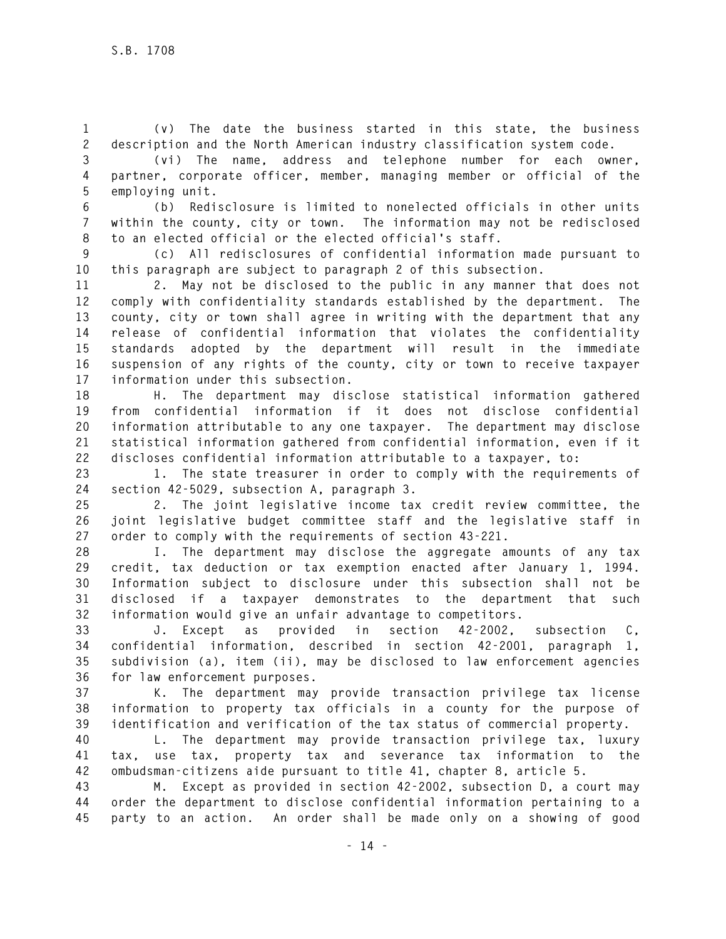**1 (v) The date the business started in this state, the business 2 description and the North American industry classification system code.** 

**3 (vi) The name, address and telephone number for each owner, 4 partner, corporate officer, member, managing member or official of the 5 employing unit.** 

**6 (b) Redisclosure is limited to nonelected officials in other units 7 within the county, city or town. The information may not be redisclosed 8 to an elected official or the elected official's staff.** 

**9 (c) All redisclosures of confidential information made pursuant to 10 this paragraph are subject to paragraph 2 of this subsection.** 

**11 2. May not be disclosed to the public in any manner that does not 12 comply with confidentiality standards established by the department. The 13 county, city or town shall agree in writing with the department that any 14 release of confidential information that violates the confidentiality 15 standards adopted by the department will result in the immediate 16 suspension of any rights of the county, city or town to receive taxpayer 17 information under this subsection.** 

**18 H. The department may disclose statistical information gathered 19 from confidential information if it does not disclose confidential 20 information attributable to any one taxpayer. The department may disclose 21 statistical information gathered from confidential information, even if it 22 discloses confidential information attributable to a taxpayer, to:** 

**23 1. The state treasurer in order to comply with the requirements of 24 section 42-5029, subsection A, paragraph 3.** 

**25 2. The joint legislative income tax credit review committee, the 26 joint legislative budget committee staff and the legislative staff in 27 order to comply with the requirements of section 43-221.** 

**28 I. The department may disclose the aggregate amounts of any tax 29 credit, tax deduction or tax exemption enacted after January 1, 1994. 30 Information subject to disclosure under this subsection shall not be 31 disclosed if a taxpayer demonstrates to the department that such 32 information would give an unfair advantage to competitors.** 

**33 J. Except as provided in section 42-2002, subsection C, 34 confidential information, described in section 42-2001, paragraph 1, 35 subdivision (a), item (ii), may be disclosed to law enforcement agencies 36 for law enforcement purposes.** 

**37 K. The department may provide transaction privilege tax license 38 information to property tax officials in a county for the purpose of 39 identification and verification of the tax status of commercial property.** 

**40 L. The department may provide transaction privilege tax, luxury 41 tax, use tax, property tax and severance tax information to the 42 ombudsman-citizens aide pursuant to title 41, chapter 8, article 5.** 

**43 M. Except as provided in section 42-2002, subsection D, a court may 44 order the department to disclose confidential information pertaining to a 45 party to an action. An order shall be made only on a showing of good**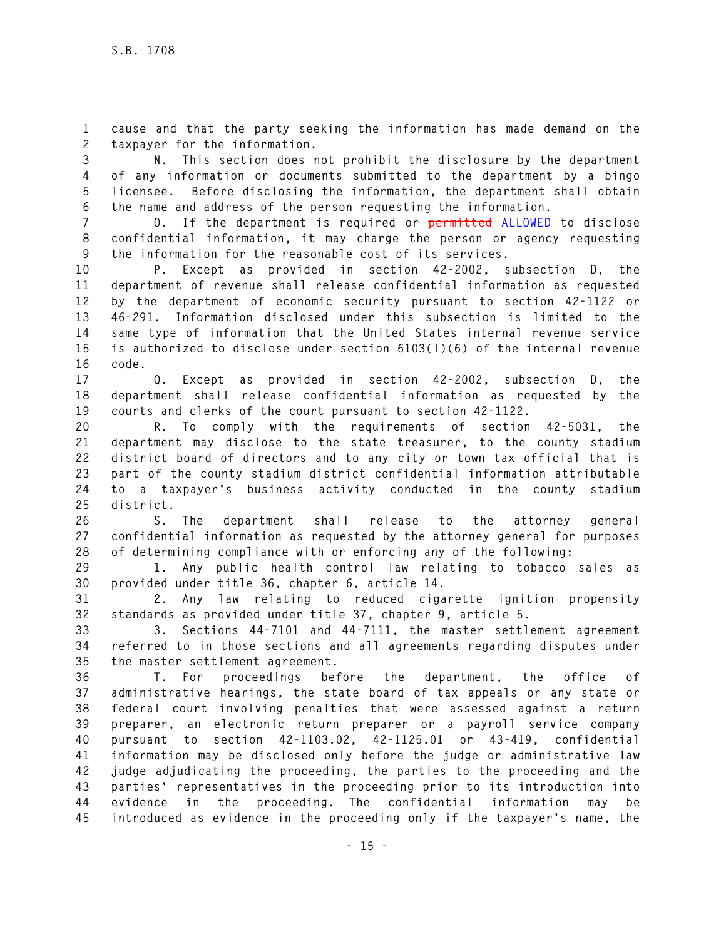**1 cause and that the party seeking the information has made demand on the 2 taxpayer for the information.** 

**3 N. This section does not prohibit the disclosure by the department 4 of any information or documents submitted to the department by a bingo 5 licensee. Before disclosing the information, the department shall obtain 6 the name and address of the person requesting the information.** 

**7 O. If the department is required or permitted ALLOWED to disclose 8 confidential information, it may charge the person or agency requesting 9 the information for the reasonable cost of its services.** 

**10 P. Except as provided in section 42-2002, subsection D, the 11 department of revenue shall release confidential information as requested 12 by the department of economic security pursuant to section 42-1122 or 13 46-291. Information disclosed under this subsection is limited to the 14 same type of information that the United States internal revenue service 15 is authorized to disclose under section 6103(l)(6) of the internal revenue 16 code.** 

**17 Q. Except as provided in section 42-2002, subsection D, the 18 department shall release confidential information as requested by the 19 courts and clerks of the court pursuant to section 42-1122.** 

**20 R. To comply with the requirements of section 42-5031, the 21 department may disclose to the state treasurer, to the county stadium 22 district board of directors and to any city or town tax official that is 23 part of the county stadium district confidential information attributable 24 to a taxpayer's business activity conducted in the county stadium 25 district.** 

**26 S. The department shall release to the attorney general 27 confidential information as requested by the attorney general for purposes 28 of determining compliance with or enforcing any of the following:** 

**29 1. Any public health control law relating to tobacco sales as 30 provided under title 36, chapter 6, article 14.** 

**31 2. Any law relating to reduced cigarette ignition propensity 32 standards as provided under title 37, chapter 9, article 5.** 

**33 3. Sections 44-7101 and 44-7111, the master settlement agreement 34 referred to in those sections and all agreements regarding disputes under 35 the master settlement agreement.** 

**36 T. For proceedings before the department, the office of 37 administrative hearings, the state board of tax appeals or any state or 38 federal court involving penalties that were assessed against a return 39 preparer, an electronic return preparer or a payroll service company 40 pursuant to section 42-1103.02, 42-1125.01 or 43-419, confidential 41 information may be disclosed only before the judge or administrative law 42 judge adjudicating the proceeding, the parties to the proceeding and the 43 parties' representatives in the proceeding prior to its introduction into 44 evidence in the proceeding. The confidential information may be 45 introduced as evidence in the proceeding only if the taxpayer's name, the**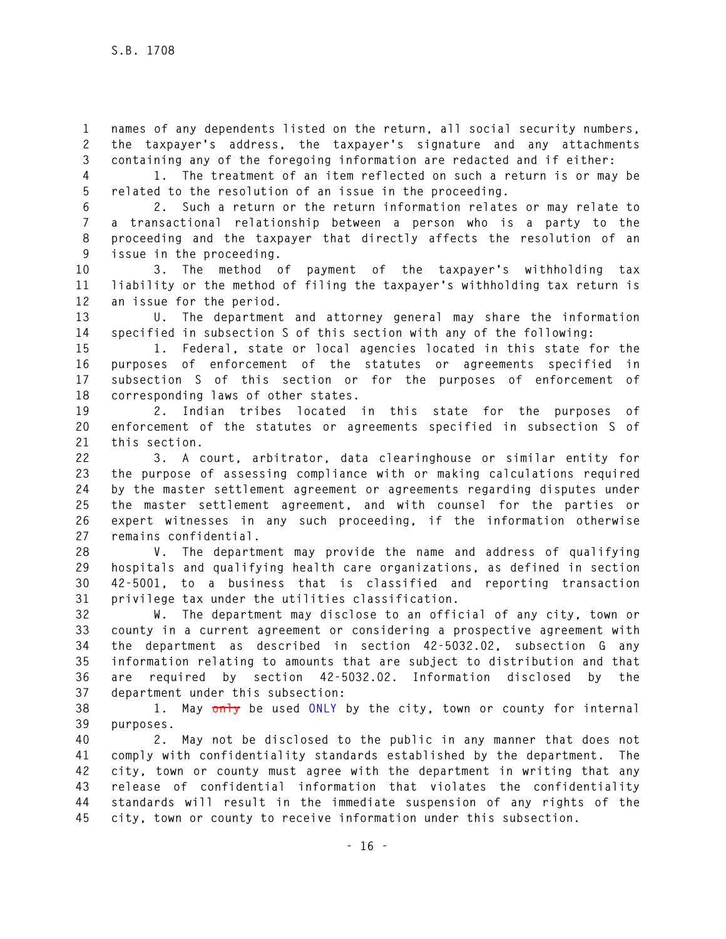**1 names of any dependents listed on the return, all social security numbers, 2 the taxpayer's address, the taxpayer's signature and any attachments 3 containing any of the foregoing information are redacted and if either:** 

**4 1. The treatment of an item reflected on such a return is or may be 5 related to the resolution of an issue in the proceeding.** 

**6 2. Such a return or the return information relates or may relate to 7 a transactional relationship between a person who is a party to the 8 proceeding and the taxpayer that directly affects the resolution of an 9 issue in the proceeding.** 

**10 3. The method of payment of the taxpayer's withholding tax 11 liability or the method of filing the taxpayer's withholding tax return is 12 an issue for the period.** 

**13 U. The department and attorney general may share the information 14 specified in subsection S of this section with any of the following:** 

**15 1. Federal, state or local agencies located in this state for the 16 purposes of enforcement of the statutes or agreements specified in 17 subsection S of this section or for the purposes of enforcement of 18 corresponding laws of other states.** 

**19 2. Indian tribes located in this state for the purposes of 20 enforcement of the statutes or agreements specified in subsection S of 21 this section.** 

**22 3. A court, arbitrator, data clearinghouse or similar entity for 23 the purpose of assessing compliance with or making calculations required 24 by the master settlement agreement or agreements regarding disputes under 25 the master settlement agreement, and with counsel for the parties or 26 expert witnesses in any such proceeding, if the information otherwise 27 remains confidential.** 

**28 V. The department may provide the name and address of qualifying 29 hospitals and qualifying health care organizations, as defined in section 30 42-5001, to a business that is classified and reporting transaction 31 privilege tax under the utilities classification.** 

**32 W. The department may disclose to an official of any city, town or 33 county in a current agreement or considering a prospective agreement with 34 the department as described in section 42-5032.02, subsection G any 35 information relating to amounts that are subject to distribution and that 36 are required by section 42-5032.02. Information disclosed by the 37 department under this subsection:** 

**38 1. May only be used ONLY by the city, town or county for internal 39 purposes.** 

**40 2. May not be disclosed to the public in any manner that does not 41 comply with confidentiality standards established by the department. The 42 city, town or county must agree with the department in writing that any 43 release of confidential information that violates the confidentiality 44 standards will result in the immediate suspension of any rights of the 45 city, town or county to receive information under this subsection.**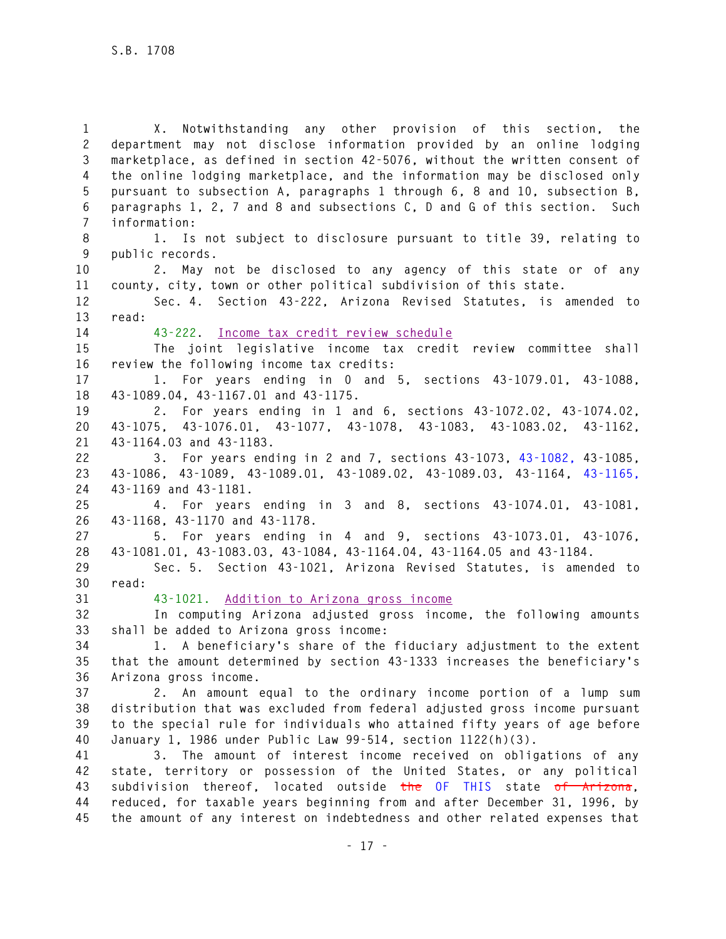**1 X. Notwithstanding any other provision of this section, the 2 department may not disclose information provided by an online lodging 3 marketplace, as defined in section 42-5076, without the written consent of 4 the online lodging marketplace, and the information may be disclosed only 5 pursuant to subsection A, paragraphs 1 through 6, 8 and 10, subsection B, 6 paragraphs 1, 2, 7 and 8 and subsections C, D and G of this section. Such 7 information: 8 1. Is not subject to disclosure pursuant to title 39, relating to 9 public records. 10 2. May not be disclosed to any agency of this state or of any 11 county, city, town or other political subdivision of this state. 12 Sec. 4. Section 43-222, Arizona Revised Statutes, is amended to 13 read: 14 43-222. Income tax credit review schedule 15 The joint legislative income tax credit review committee shall 16 review the following income tax credits: 17 1. For years ending in 0 and 5, sections 43-1079.01, 43-1088, 18 43-1089.04, 43-1167.01 and 43-1175. 19 2. For years ending in 1 and 6, sections 43-1072.02, 43-1074.02, 20 43-1075, 43-1076.01, 43-1077, 43-1078, 43-1083, 43-1083.02, 43-1162, 21 43-1164.03 and 43-1183. 22 3. For years ending in 2 and 7, sections 43-1073, 43-1082, 43-1085, 23 43-1086, 43-1089, 43-1089.01, 43-1089.02, 43-1089.03, 43-1164, 43-1165, 24 43-1169 and 43-1181. 25 4. For years ending in 3 and 8, sections 43-1074.01, 43-1081, 26 43-1168, 43-1170 and 43-1178. 27 5. For years ending in 4 and 9, sections 43-1073.01, 43-1076, 28 43-1081.01, 43-1083.03, 43-1084, 43-1164.04, 43-1164.05 and 43-1184. 29 Sec. 5. Section 43-1021, Arizona Revised Statutes, is amended to 30 read: 31 43-1021. Addition to Arizona gross income 32 In computing Arizona adjusted gross income, the following amounts 33 shall be added to Arizona gross income: 34 1. A beneficiary's share of the fiduciary adjustment to the extent 35 that the amount determined by section 43-1333 increases the beneficiary's 36 Arizona gross income. 37 2. An amount equal to the ordinary income portion of a lump sum 38 distribution that was excluded from federal adjusted gross income pursuant 39 to the special rule for individuals who attained fifty years of age before 40 January 1, 1986 under Public Law 99-514, section 1122(h)(3). 41 3. The amount of interest income received on obligations of any 42 state, territory or possession of the United States, or any political 43 subdivision thereof, located outside the OF THIS state of Arizona, 44 reduced, for taxable years beginning from and after December 31, 1996, by 45 the amount of any interest on indebtedness and other related expenses that**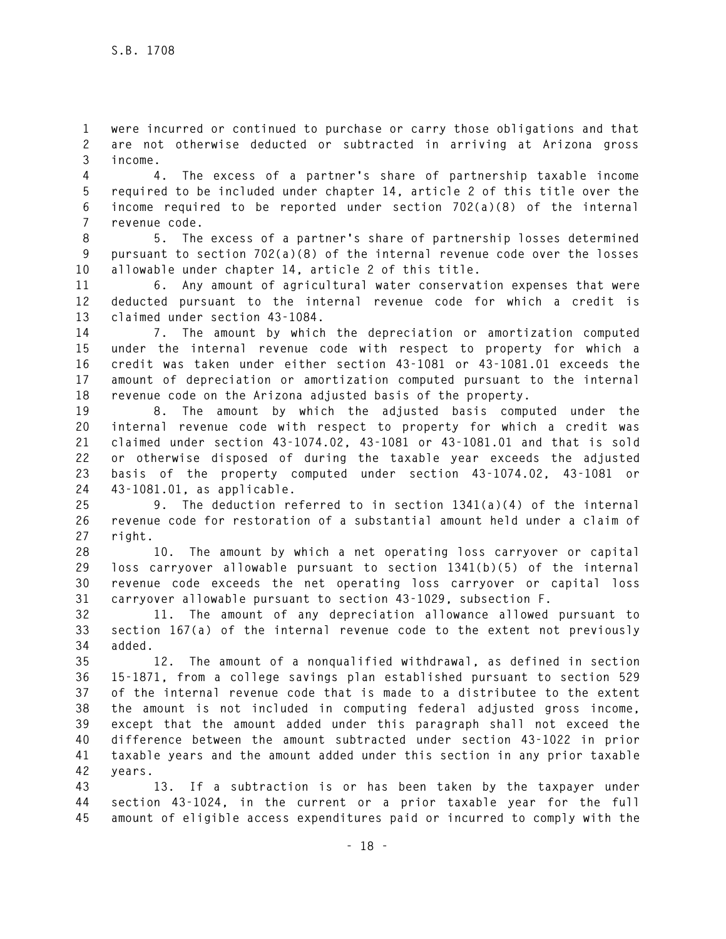**1 were incurred or continued to purchase or carry those obligations and that 2 are not otherwise deducted or subtracted in arriving at Arizona gross 3 income.** 

**4 4. The excess of a partner's share of partnership taxable income 5 required to be included under chapter 14, article 2 of this title over the 6 income required to be reported under section 702(a)(8) of the internal 7 revenue code.** 

**8 5. The excess of a partner's share of partnership losses determined 9 pursuant to section 702(a)(8) of the internal revenue code over the losses 10 allowable under chapter 14, article 2 of this title.** 

**11 6. Any amount of agricultural water conservation expenses that were 12 deducted pursuant to the internal revenue code for which a credit is 13 claimed under section 43-1084.** 

**14 7. The amount by which the depreciation or amortization computed 15 under the internal revenue code with respect to property for which a 16 credit was taken under either section 43-1081 or 43-1081.01 exceeds the 17 amount of depreciation or amortization computed pursuant to the internal 18 revenue code on the Arizona adjusted basis of the property.** 

**19 8. The amount by which the adjusted basis computed under the 20 internal revenue code with respect to property for which a credit was 21 claimed under section 43-1074.02, 43-1081 or 43-1081.01 and that is sold 22 or otherwise disposed of during the taxable year exceeds the adjusted 23 basis of the property computed under section 43-1074.02, 43-1081 or 24 43-1081.01, as applicable.** 

**25 9. The deduction referred to in section 1341(a)(4) of the internal 26 revenue code for restoration of a substantial amount held under a claim of 27 right.** 

**28 10. The amount by which a net operating loss carryover or capital 29 loss carryover allowable pursuant to section 1341(b)(5) of the internal 30 revenue code exceeds the net operating loss carryover or capital loss 31 carryover allowable pursuant to section 43-1029, subsection F.** 

**32 11. The amount of any depreciation allowance allowed pursuant to 33 section 167(a) of the internal revenue code to the extent not previously 34 added.** 

**35 12. The amount of a nonqualified withdrawal, as defined in section 36 15-1871, from a college savings plan established pursuant to section 529 37 of the internal revenue code that is made to a distributee to the extent 38 the amount is not included in computing federal adjusted gross income, 39 except that the amount added under this paragraph shall not exceed the 40 difference between the amount subtracted under section 43-1022 in prior 41 taxable years and the amount added under this section in any prior taxable 42 years.** 

**43 13. If a subtraction is or has been taken by the taxpayer under 44 section 43-1024, in the current or a prior taxable year for the full 45 amount of eligible access expenditures paid or incurred to comply with the**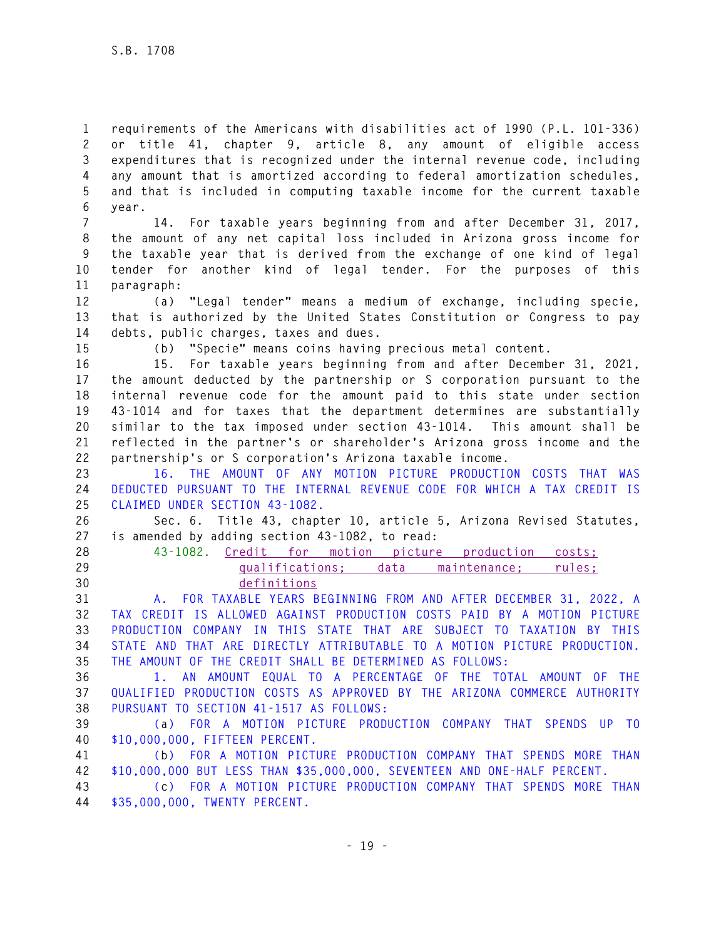**1 requirements of the Americans with disabilities act of 1990 (P.L. 101-336) 2 or title 41, chapter 9, article 8, any amount of eligible access 3 expenditures that is recognized under the internal revenue code, including 4 any amount that is amortized according to federal amortization schedules, 5 and that is included in computing taxable income for the current taxable 6 year.** 

**7 14. For taxable years beginning from and after December 31, 2017, 8 the amount of any net capital loss included in Arizona gross income for 9 the taxable year that is derived from the exchange of one kind of legal 10 tender for another kind of legal tender. For the purposes of this 11 paragraph:** 

**12 (a) "Legal tender" means a medium of exchange, including specie, 13 that is authorized by the United States Constitution or Congress to pay 14 debts, public charges, taxes and dues.** 

**15 (b) "Specie" means coins having precious metal content.** 

**16 15. For taxable years beginning from and after December 31, 2021, 17 the amount deducted by the partnership or S corporation pursuant to the 18 internal revenue code for the amount paid to this state under section 19 43-1014 and for taxes that the department determines are substantially 20 similar to the tax imposed under section 43-1014. This amount shall be 21 reflected in the partner's or shareholder's Arizona gross income and the 22 partnership's or S corporation's Arizona taxable income.** 

**23 16. THE AMOUNT OF ANY MOTION PICTURE PRODUCTION COSTS THAT WAS 24 DEDUCTED PURSUANT TO THE INTERNAL REVENUE CODE FOR WHICH A TAX CREDIT IS 25 CLAIMED UNDER SECTION 43-1082.** 

**26 Sec. 6. Title 43, chapter 10, article 5, Arizona Revised Statutes, 27 is amended by adding section 43-1082, to read:** 

**28 43-1082. Credit for motion picture production costs; 29 qualifications; data maintenance; rules; 30 definitions** 

**31 A. FOR TAXABLE YEARS BEGINNING FROM AND AFTER DECEMBER 31, 2022, A 32 TAX CREDIT IS ALLOWED AGAINST PRODUCTION COSTS PAID BY A MOTION PICTURE 33 PRODUCTION COMPANY IN THIS STATE THAT ARE SUBJECT TO TAXATION BY THIS 34 STATE AND THAT ARE DIRECTLY ATTRIBUTABLE TO A MOTION PICTURE PRODUCTION. 35 THE AMOUNT OF THE CREDIT SHALL BE DETERMINED AS FOLLOWS:** 

**36 1. AN AMOUNT EQUAL TO A PERCENTAGE OF THE TOTAL AMOUNT OF THE 37 QUALIFIED PRODUCTION COSTS AS APPROVED BY THE ARIZONA COMMERCE AUTHORITY 38 PURSUANT TO SECTION 41-1517 AS FOLLOWS:** 

**39 (a) FOR A MOTION PICTURE PRODUCTION COMPANY THAT SPENDS UP TO 40 \$10,000,000, FIFTEEN PERCENT.** 

**41 (b) FOR A MOTION PICTURE PRODUCTION COMPANY THAT SPENDS MORE THAN 42 \$10,000,000 BUT LESS THAN \$35,000,000, SEVENTEEN AND ONE-HALF PERCENT.** 

**43 (c) FOR A MOTION PICTURE PRODUCTION COMPANY THAT SPENDS MORE THAN 44 \$35,000,000, TWENTY PERCENT.**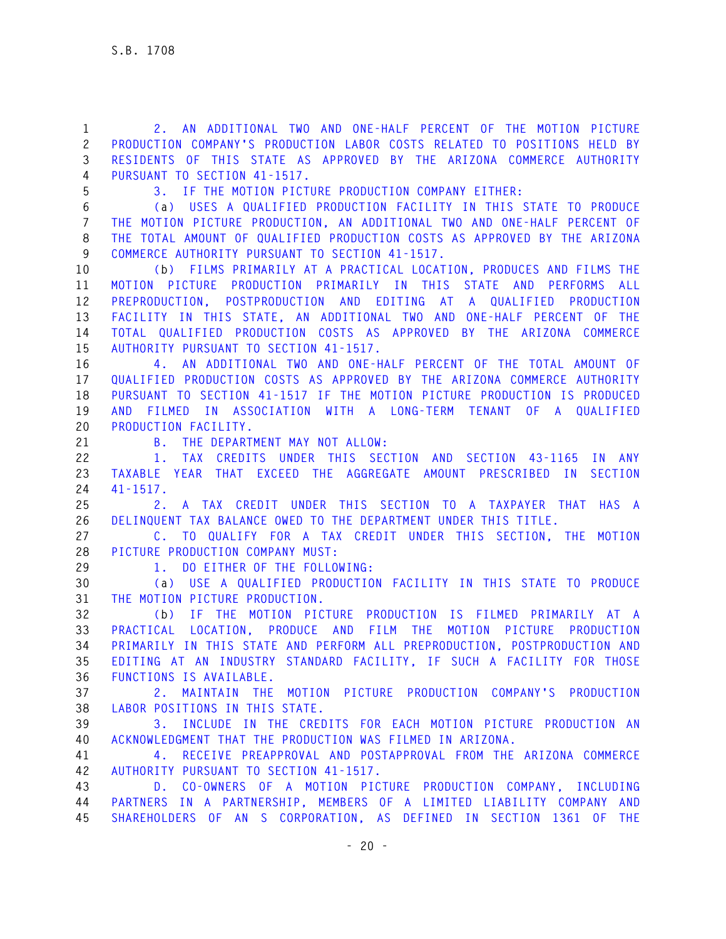**1 2. AN ADDITIONAL TWO AND ONE-HALF PERCENT OF THE MOTION PICTURE 2 PRODUCTION COMPANY'S PRODUCTION LABOR COSTS RELATED TO POSITIONS HELD BY 3 RESIDENTS OF THIS STATE AS APPROVED BY THE ARIZONA COMMERCE AUTHORITY 4 PURSUANT TO SECTION 41-1517.** 

**5 3. IF THE MOTION PICTURE PRODUCTION COMPANY EITHER:** 

**6 (a) USES A QUALIFIED PRODUCTION FACILITY IN THIS STATE TO PRODUCE 7 THE MOTION PICTURE PRODUCTION, AN ADDITIONAL TWO AND ONE-HALF PERCENT OF 8 THE TOTAL AMOUNT OF QUALIFIED PRODUCTION COSTS AS APPROVED BY THE ARIZONA 9 COMMERCE AUTHORITY PURSUANT TO SECTION 41-1517.** 

**10 (b) FILMS PRIMARILY AT A PRACTICAL LOCATION, PRODUCES AND FILMS THE 11 MOTION PICTURE PRODUCTION PRIMARILY IN THIS STATE AND PERFORMS ALL 12 PREPRODUCTION, POSTPRODUCTION AND EDITING AT A QUALIFIED PRODUCTION 13 FACILITY IN THIS STATE, AN ADDITIONAL TWO AND ONE-HALF PERCENT OF THE 14 TOTAL QUALIFIED PRODUCTION COSTS AS APPROVED BY THE ARIZONA COMMERCE 15 AUTHORITY PURSUANT TO SECTION 41-1517.** 

**16 4. AN ADDITIONAL TWO AND ONE-HALF PERCENT OF THE TOTAL AMOUNT OF 17 QUALIFIED PRODUCTION COSTS AS APPROVED BY THE ARIZONA COMMERCE AUTHORITY 18 PURSUANT TO SECTION 41-1517 IF THE MOTION PICTURE PRODUCTION IS PRODUCED 19 AND FILMED IN ASSOCIATION WITH A LONG-TERM TENANT OF A QUALIFIED 20 PRODUCTION FACILITY.** 

**21 B. THE DEPARTMENT MAY NOT ALLOW:** 

**22 1. TAX CREDITS UNDER THIS SECTION AND SECTION 43-1165 IN ANY 23 TAXABLE YEAR THAT EXCEED THE AGGREGATE AMOUNT PRESCRIBED IN SECTION 24 41-1517.** 

**25 2. A TAX CREDIT UNDER THIS SECTION TO A TAXPAYER THAT HAS A 26 DELINQUENT TAX BALANCE OWED TO THE DEPARTMENT UNDER THIS TITLE.** 

**27 C. TO QUALIFY FOR A TAX CREDIT UNDER THIS SECTION, THE MOTION 28 PICTURE PRODUCTION COMPANY MUST:** 

**29 1. DO EITHER OF THE FOLLOWING:** 

**30 (a) USE A QUALIFIED PRODUCTION FACILITY IN THIS STATE TO PRODUCE 31 THE MOTION PICTURE PRODUCTION.** 

**32 (b) IF THE MOTION PICTURE PRODUCTION IS FILMED PRIMARILY AT A 33 PRACTICAL LOCATION, PRODUCE AND FILM THE MOTION PICTURE PRODUCTION 34 PRIMARILY IN THIS STATE AND PERFORM ALL PREPRODUCTION, POSTPRODUCTION AND 35 EDITING AT AN INDUSTRY STANDARD FACILITY, IF SUCH A FACILITY FOR THOSE 36 FUNCTIONS IS AVAILABLE.** 

**37 2. MAINTAIN THE MOTION PICTURE PRODUCTION COMPANY'S PRODUCTION 38 LABOR POSITIONS IN THIS STATE.** 

**39 3. INCLUDE IN THE CREDITS FOR EACH MOTION PICTURE PRODUCTION AN 40 ACKNOWLEDGMENT THAT THE PRODUCTION WAS FILMED IN ARIZONA.** 

**41 4. RECEIVE PREAPPROVAL AND POSTAPPROVAL FROM THE ARIZONA COMMERCE 42 AUTHORITY PURSUANT TO SECTION 41-1517.** 

**43 D. CO-OWNERS OF A MOTION PICTURE PRODUCTION COMPANY, INCLUDING 44 PARTNERS IN A PARTNERSHIP, MEMBERS OF A LIMITED LIABILITY COMPANY AND 45 SHAREHOLDERS OF AN S CORPORATION, AS DEFINED IN SECTION 1361 OF THE**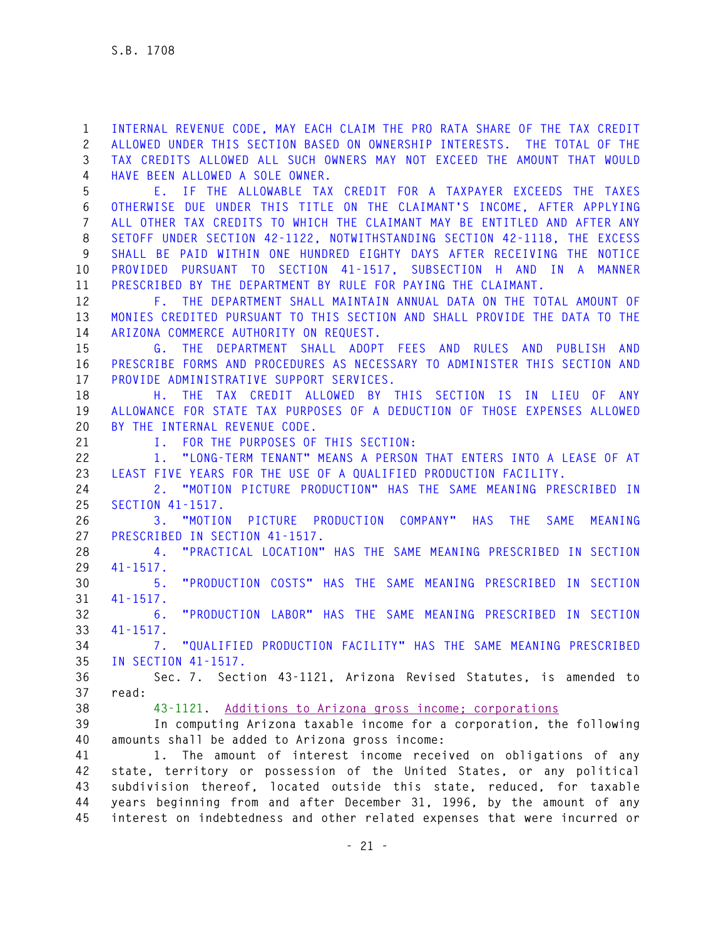**1 INTERNAL REVENUE CODE, MAY EACH CLAIM THE PRO RATA SHARE OF THE TAX CREDIT 2 ALLOWED UNDER THIS SECTION BASED ON OWNERSHIP INTERESTS. THE TOTAL OF THE 3 TAX CREDITS ALLOWED ALL SUCH OWNERS MAY NOT EXCEED THE AMOUNT THAT WOULD 4 HAVE BEEN ALLOWED A SOLE OWNER.** 

**5 E. IF THE ALLOWABLE TAX CREDIT FOR A TAXPAYER EXCEEDS THE TAXES 6 OTHERWISE DUE UNDER THIS TITLE ON THE CLAIMANT'S INCOME, AFTER APPLYING 7 ALL OTHER TAX CREDITS TO WHICH THE CLAIMANT MAY BE ENTITLED AND AFTER ANY 8 SETOFF UNDER SECTION 42-1122, NOTWITHSTANDING SECTION 42-1118, THE EXCESS 9 SHALL BE PAID WITHIN ONE HUNDRED EIGHTY DAYS AFTER RECEIVING THE NOTICE 10 PROVIDED PURSUANT TO SECTION 41-1517, SUBSECTION H AND IN A MANNER 11 PRESCRIBED BY THE DEPARTMENT BY RULE FOR PAYING THE CLAIMANT.** 

**12 F. THE DEPARTMENT SHALL MAINTAIN ANNUAL DATA ON THE TOTAL AMOUNT OF 13 MONIES CREDITED PURSUANT TO THIS SECTION AND SHALL PROVIDE THE DATA TO THE 14 ARIZONA COMMERCE AUTHORITY ON REQUEST.** 

**15 G. THE DEPARTMENT SHALL ADOPT FEES AND RULES AND PUBLISH AND 16 PRESCRIBE FORMS AND PROCEDURES AS NECESSARY TO ADMINISTER THIS SECTION AND 17 PROVIDE ADMINISTRATIVE SUPPORT SERVICES.** 

**18 H. THE TAX CREDIT ALLOWED BY THIS SECTION IS IN LIEU OF ANY 19 ALLOWANCE FOR STATE TAX PURPOSES OF A DEDUCTION OF THOSE EXPENSES ALLOWED 20 BY THE INTERNAL REVENUE CODE.** 

**21 I. FOR THE PURPOSES OF THIS SECTION:** 

**22 1. "LONG-TERM TENANT" MEANS A PERSON THAT ENTERS INTO A LEASE OF AT 23 LEAST FIVE YEARS FOR THE USE OF A QUALIFIED PRODUCTION FACILITY.** 

**24 2. "MOTION PICTURE PRODUCTION" HAS THE SAME MEANING PRESCRIBED IN 25 SECTION 41-1517.** 

**26 3. "MOTION PICTURE PRODUCTION COMPANY" HAS THE SAME MEANING 27 PRESCRIBED IN SECTION 41-1517.** 

**28 4. "PRACTICAL LOCATION" HAS THE SAME MEANING PRESCRIBED IN SECTION 29 41-1517.** 

**30 5. "PRODUCTION COSTS" HAS THE SAME MEANING PRESCRIBED IN SECTION 31 41-1517.** 

**32 6. "PRODUCTION LABOR" HAS THE SAME MEANING PRESCRIBED IN SECTION 33 41-1517.** 

**34 7. "QUALIFIED PRODUCTION FACILITY" HAS THE SAME MEANING PRESCRIBED 35 IN SECTION 41-1517.** 

**36 Sec. 7. Section 43-1121, Arizona Revised Statutes, is amended to 37 read:** 

**38 43-1121. Additions to Arizona gross income; corporations**

**39 In computing Arizona taxable income for a corporation, the following 40 amounts shall be added to Arizona gross income:** 

**41 1. The amount of interest income received on obligations of any 42 state, territory or possession of the United States, or any political 43 subdivision thereof, located outside this state, reduced, for taxable 44 years beginning from and after December 31, 1996, by the amount of any 45 interest on indebtedness and other related expenses that were incurred or**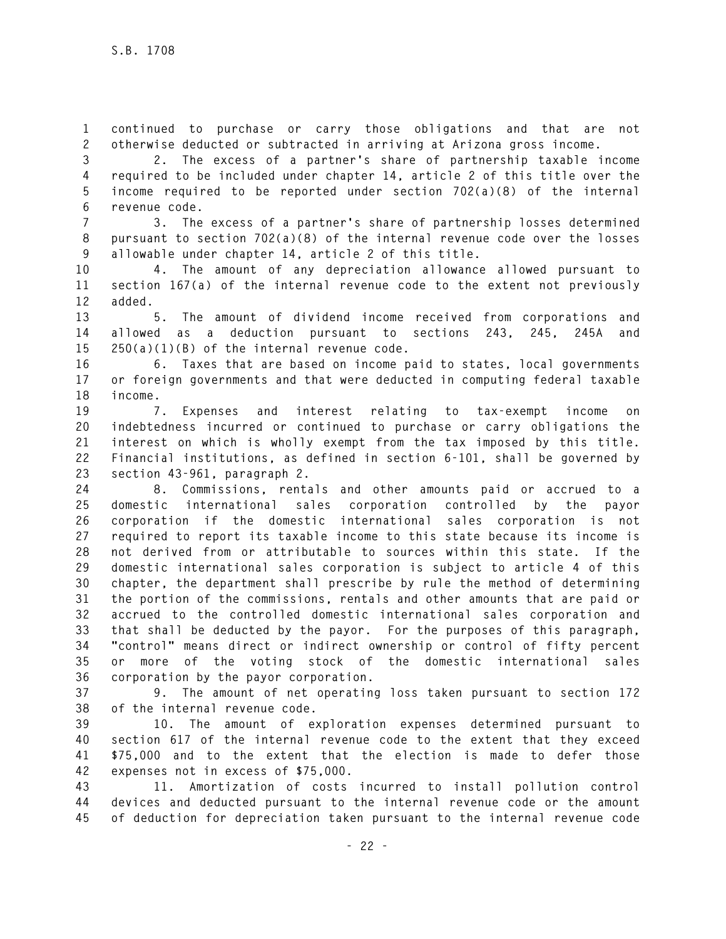**1 continued to purchase or carry those obligations and that are not 2 otherwise deducted or subtracted in arriving at Arizona gross income.** 

**3 2. The excess of a partner's share of partnership taxable income 4 required to be included under chapter 14, article 2 of this title over the 5 income required to be reported under section 702(a)(8) of the internal 6 revenue code.** 

**7 3. The excess of a partner's share of partnership losses determined 8 pursuant to section 702(a)(8) of the internal revenue code over the losses 9 allowable under chapter 14, article 2 of this title.** 

**10 4. The amount of any depreciation allowance allowed pursuant to 11 section 167(a) of the internal revenue code to the extent not previously 12 added.** 

**13 5. The amount of dividend income received from corporations and 14 allowed as a deduction pursuant to sections 243, 245, 245A and 15 250(a)(1)(B) of the internal revenue code.** 

**16 6. Taxes that are based on income paid to states, local governments 17 or foreign governments and that were deducted in computing federal taxable 18 income.** 

**19 7. Expenses and interest relating to tax-exempt income on 20 indebtedness incurred or continued to purchase or carry obligations the 21 interest on which is wholly exempt from the tax imposed by this title. 22 Financial institutions, as defined in section 6-101, shall be governed by 23 section 43-961, paragraph 2.** 

**24 8. Commissions, rentals and other amounts paid or accrued to a 25 domestic international sales corporation controlled by the payor 26 corporation if the domestic international sales corporation is not 27 required to report its taxable income to this state because its income is 28 not derived from or attributable to sources within this state. If the 29 domestic international sales corporation is subject to article 4 of this 30 chapter, the department shall prescribe by rule the method of determining 31 the portion of the commissions, rentals and other amounts that are paid or 32 accrued to the controlled domestic international sales corporation and 33 that shall be deducted by the payor. For the purposes of this paragraph, 34 "control" means direct or indirect ownership or control of fifty percent 35 or more of the voting stock of the domestic international sales 36 corporation by the payor corporation.** 

**37 9. The amount of net operating loss taken pursuant to section 172 38 of the internal revenue code.** 

**39 10. The amount of exploration expenses determined pursuant to 40 section 617 of the internal revenue code to the extent that they exceed 41 \$75,000 and to the extent that the election is made to defer those 42 expenses not in excess of \$75,000.** 

**43 11. Amortization of costs incurred to install pollution control 44 devices and deducted pursuant to the internal revenue code or the amount 45 of deduction for depreciation taken pursuant to the internal revenue code**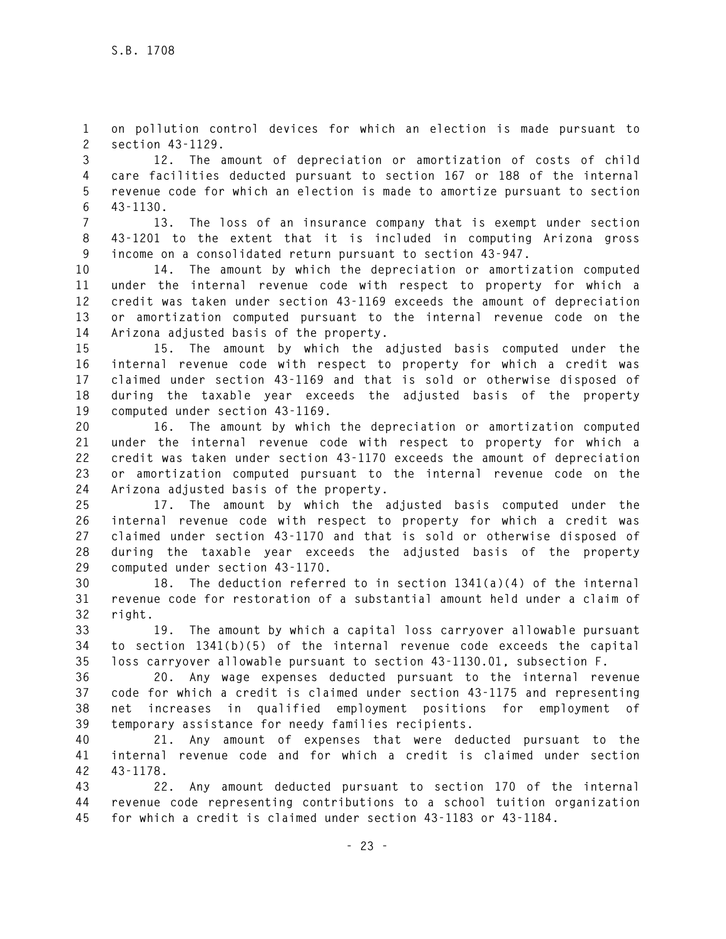**1 on pollution control devices for which an election is made pursuant to 2 section 43-1129.** 

**3 12. The amount of depreciation or amortization of costs of child 4 care facilities deducted pursuant to section 167 or 188 of the internal 5 revenue code for which an election is made to amortize pursuant to section 6 43-1130.** 

**7 13. The loss of an insurance company that is exempt under section 8 43-1201 to the extent that it is included in computing Arizona gross 9 income on a consolidated return pursuant to section 43-947.** 

**10 14. The amount by which the depreciation or amortization computed 11 under the internal revenue code with respect to property for which a 12 credit was taken under section 43-1169 exceeds the amount of depreciation 13 or amortization computed pursuant to the internal revenue code on the 14 Arizona adjusted basis of the property.** 

**15 15. The amount by which the adjusted basis computed under the 16 internal revenue code with respect to property for which a credit was 17 claimed under section 43-1169 and that is sold or otherwise disposed of 18 during the taxable year exceeds the adjusted basis of the property 19 computed under section 43-1169.** 

**20 16. The amount by which the depreciation or amortization computed 21 under the internal revenue code with respect to property for which a 22 credit was taken under section 43-1170 exceeds the amount of depreciation 23 or amortization computed pursuant to the internal revenue code on the 24 Arizona adjusted basis of the property.** 

**25 17. The amount by which the adjusted basis computed under the 26 internal revenue code with respect to property for which a credit was 27 claimed under section 43-1170 and that is sold or otherwise disposed of 28 during the taxable year exceeds the adjusted basis of the property 29 computed under section 43-1170.** 

**30 18. The deduction referred to in section 1341(a)(4) of the internal 31 revenue code for restoration of a substantial amount held under a claim of 32 right.** 

**33 19. The amount by which a capital loss carryover allowable pursuant 34 to section 1341(b)(5) of the internal revenue code exceeds the capital 35 loss carryover allowable pursuant to section 43-1130.01, subsection F.** 

**36 20. Any wage expenses deducted pursuant to the internal revenue 37 code for which a credit is claimed under section 43-1175 and representing 38 net increases in qualified employment positions for employment of 39 temporary assistance for needy families recipients.** 

**40 21. Any amount of expenses that were deducted pursuant to the 41 internal revenue code and for which a credit is claimed under section 42 43-1178.** 

**43 22. Any amount deducted pursuant to section 170 of the internal 44 revenue code representing contributions to a school tuition organization 45 for which a credit is claimed under section 43-1183 or 43-1184.**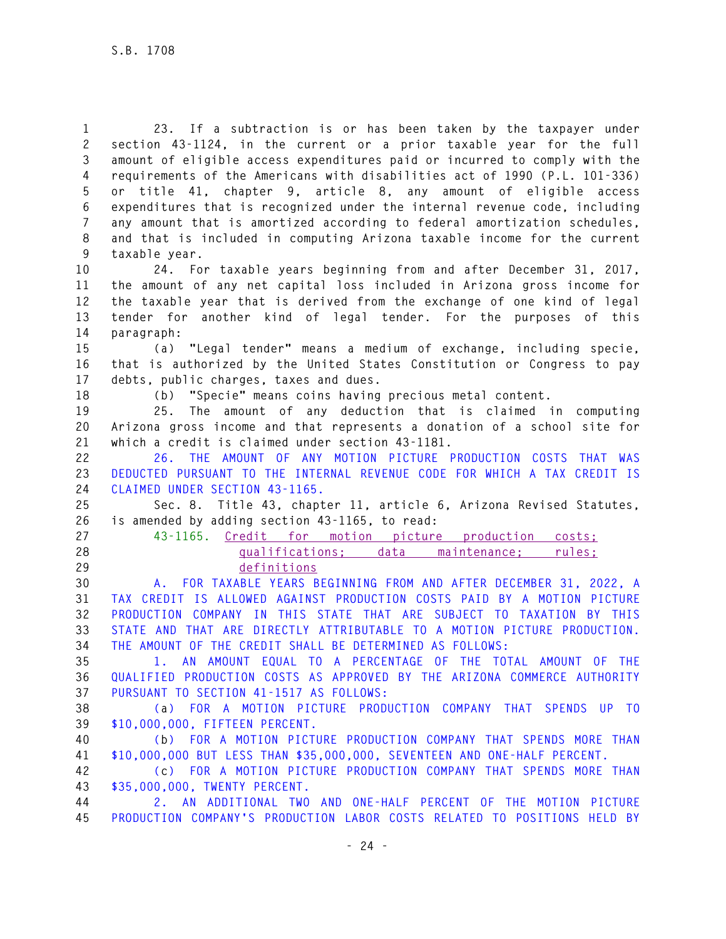**1 23. If a subtraction is or has been taken by the taxpayer under 2 section 43-1124, in the current or a prior taxable year for the full 3 amount of eligible access expenditures paid or incurred to comply with the 4 requirements of the Americans with disabilities act of 1990 (P.L. 101-336) 5 or title 41, chapter 9, article 8, any amount of eligible access 6 expenditures that is recognized under the internal revenue code, including 7 any amount that is amortized according to federal amortization schedules, 8 and that is included in computing Arizona taxable income for the current 9 taxable year.** 

**10 24. For taxable years beginning from and after December 31, 2017, 11 the amount of any net capital loss included in Arizona gross income for 12 the taxable year that is derived from the exchange of one kind of legal 13 tender for another kind of legal tender. For the purposes of this 14 paragraph:** 

**15 (a) "Legal tender" means a medium of exchange, including specie, 16 that is authorized by the United States Constitution or Congress to pay 17 debts, public charges, taxes and dues.** 

**18 (b) "Specie" means coins having precious metal content.** 

**19 25. The amount of any deduction that is claimed in computing 20 Arizona gross income and that represents a donation of a school site for 21 which a credit is claimed under section 43-1181.** 

**22 26. THE AMOUNT OF ANY MOTION PICTURE PRODUCTION COSTS THAT WAS 23 DEDUCTED PURSUANT TO THE INTERNAL REVENUE CODE FOR WHICH A TAX CREDIT IS 24 CLAIMED UNDER SECTION 43-1165.** 

**25 Sec. 8. Title 43, chapter 11, article 6, Arizona Revised Statutes, 26 is amended by adding section 43-1165, to read:** 

**27 43-1165. Credit for motion picture production costs; 28 qualifications; data maintenance; rules; 29 definitions** 

**30 A. FOR TAXABLE YEARS BEGINNING FROM AND AFTER DECEMBER 31, 2022, A 31 TAX CREDIT IS ALLOWED AGAINST PRODUCTION COSTS PAID BY A MOTION PICTURE 32 PRODUCTION COMPANY IN THIS STATE THAT ARE SUBJECT TO TAXATION BY THIS 33 STATE AND THAT ARE DIRECTLY ATTRIBUTABLE TO A MOTION PICTURE PRODUCTION. 34 THE AMOUNT OF THE CREDIT SHALL BE DETERMINED AS FOLLOWS:** 

**35 1. AN AMOUNT EQUAL TO A PERCENTAGE OF THE TOTAL AMOUNT OF THE 36 QUALIFIED PRODUCTION COSTS AS APPROVED BY THE ARIZONA COMMERCE AUTHORITY 37 PURSUANT TO SECTION 41-1517 AS FOLLOWS:** 

**38 (a) FOR A MOTION PICTURE PRODUCTION COMPANY THAT SPENDS UP TO 39 \$10,000,000, FIFTEEN PERCENT.** 

**40 (b) FOR A MOTION PICTURE PRODUCTION COMPANY THAT SPENDS MORE THAN 41 \$10,000,000 BUT LESS THAN \$35,000,000, SEVENTEEN AND ONE-HALF PERCENT.** 

**42 (c) FOR A MOTION PICTURE PRODUCTION COMPANY THAT SPENDS MORE THAN 43 \$35,000,000, TWENTY PERCENT.** 

**44 2. AN ADDITIONAL TWO AND ONE-HALF PERCENT OF THE MOTION PICTURE 45 PRODUCTION COMPANY'S PRODUCTION LABOR COSTS RELATED TO POSITIONS HELD BY**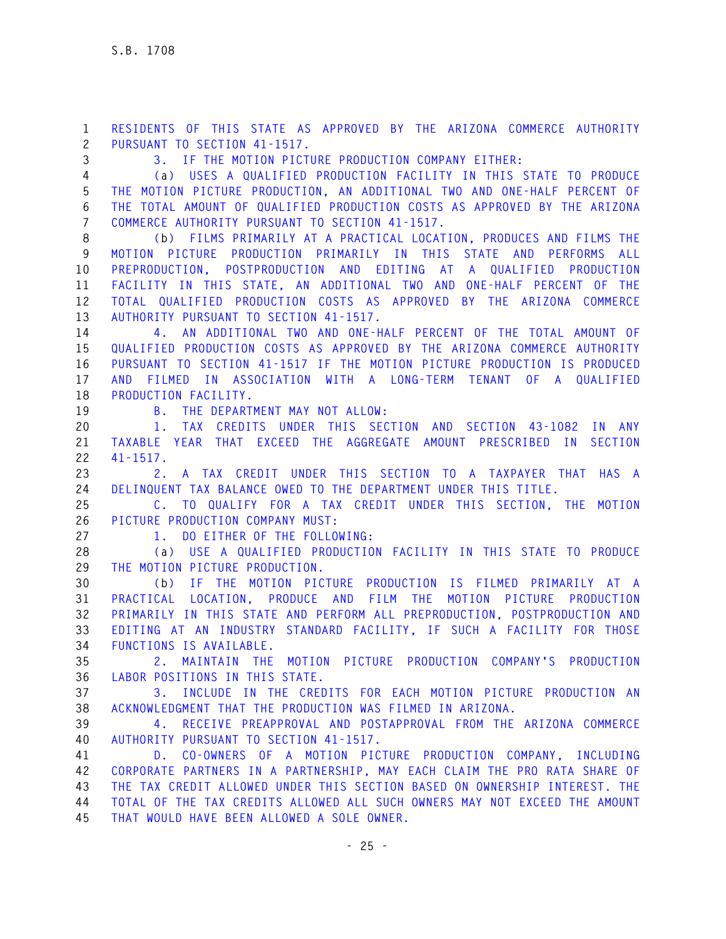**1 RESIDENTS OF THIS STATE AS APPROVED BY THE ARIZONA COMMERCE AUTHORITY 2 PURSUANT TO SECTION 41-1517.** 

**3 3. IF THE MOTION PICTURE PRODUCTION COMPANY EITHER:** 

**4 (a) USES A QUALIFIED PRODUCTION FACILITY IN THIS STATE TO PRODUCE 5 THE MOTION PICTURE PRODUCTION, AN ADDITIONAL TWO AND ONE-HALF PERCENT OF 6 THE TOTAL AMOUNT OF QUALIFIED PRODUCTION COSTS AS APPROVED BY THE ARIZONA 7 COMMERCE AUTHORITY PURSUANT TO SECTION 41-1517.** 

**8 (b) FILMS PRIMARILY AT A PRACTICAL LOCATION, PRODUCES AND FILMS THE 9 MOTION PICTURE PRODUCTION PRIMARILY IN THIS STATE AND PERFORMS ALL 10 PREPRODUCTION, POSTPRODUCTION AND EDITING AT A QUALIFIED PRODUCTION 11 FACILITY IN THIS STATE, AN ADDITIONAL TWO AND ONE-HALF PERCENT OF THE 12 TOTAL QUALIFIED PRODUCTION COSTS AS APPROVED BY THE ARIZONA COMMERCE 13 AUTHORITY PURSUANT TO SECTION 41-1517.** 

**14 4. AN ADDITIONAL TWO AND ONE-HALF PERCENT OF THE TOTAL AMOUNT OF 15 QUALIFIED PRODUCTION COSTS AS APPROVED BY THE ARIZONA COMMERCE AUTHORITY 16 PURSUANT TO SECTION 41-1517 IF THE MOTION PICTURE PRODUCTION IS PRODUCED 17 AND FILMED IN ASSOCIATION WITH A LONG-TERM TENANT OF A QUALIFIED 18 PRODUCTION FACILITY.** 

**19 B. THE DEPARTMENT MAY NOT ALLOW:** 

**20 1. TAX CREDITS UNDER THIS SECTION AND SECTION 43-1082 IN ANY 21 TAXABLE YEAR THAT EXCEED THE AGGREGATE AMOUNT PRESCRIBED IN SECTION 22 41-1517.** 

**23 2. A TAX CREDIT UNDER THIS SECTION TO A TAXPAYER THAT HAS A 24 DELINQUENT TAX BALANCE OWED TO THE DEPARTMENT UNDER THIS TITLE.** 

**25 C. TO QUALIFY FOR A TAX CREDIT UNDER THIS SECTION, THE MOTION 26 PICTURE PRODUCTION COMPANY MUST:** 

**27 1. DO EITHER OF THE FOLLOWING:** 

**28 (a) USE A QUALIFIED PRODUCTION FACILITY IN THIS STATE TO PRODUCE 29 THE MOTION PICTURE PRODUCTION.** 

**30 (b) IF THE MOTION PICTURE PRODUCTION IS FILMED PRIMARILY AT A 31 PRACTICAL LOCATION, PRODUCE AND FILM THE MOTION PICTURE PRODUCTION 32 PRIMARILY IN THIS STATE AND PERFORM ALL PREPRODUCTION, POSTPRODUCTION AND 33 EDITING AT AN INDUSTRY STANDARD FACILITY, IF SUCH A FACILITY FOR THOSE 34 FUNCTIONS IS AVAILABLE.** 

**35 2. MAINTAIN THE MOTION PICTURE PRODUCTION COMPANY'S PRODUCTION 36 LABOR POSITIONS IN THIS STATE.** 

**37 3. INCLUDE IN THE CREDITS FOR EACH MOTION PICTURE PRODUCTION AN 38 ACKNOWLEDGMENT THAT THE PRODUCTION WAS FILMED IN ARIZONA.** 

**39 4. RECEIVE PREAPPROVAL AND POSTAPPROVAL FROM THE ARIZONA COMMERCE 40 AUTHORITY PURSUANT TO SECTION 41-1517.** 

**41 D. CO-OWNERS OF A MOTION PICTURE PRODUCTION COMPANY, INCLUDING 42 CORPORATE PARTNERS IN A PARTNERSHIP, MAY EACH CLAIM THE PRO RATA SHARE OF 43 THE TAX CREDIT ALLOWED UNDER THIS SECTION BASED ON OWNERSHIP INTEREST. THE 44 TOTAL OF THE TAX CREDITS ALLOWED ALL SUCH OWNERS MAY NOT EXCEED THE AMOUNT 45 THAT WOULD HAVE BEEN ALLOWED A SOLE OWNER.**